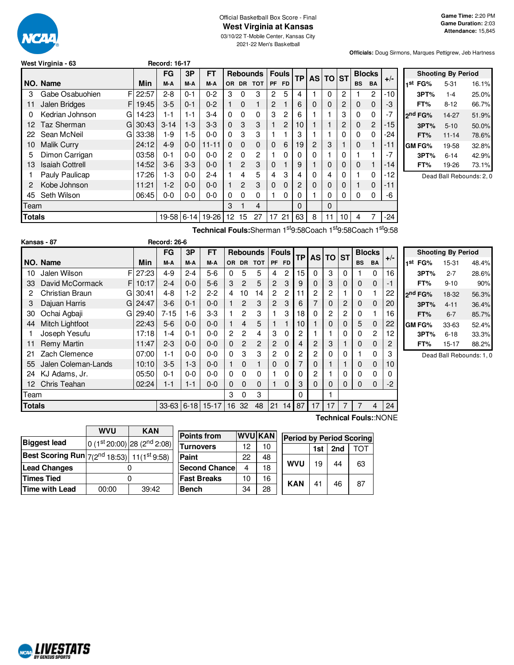

# Official Basketball Box Score - Final **West Virginia at Kansas**

03/10/22 T-Mobile Center, Kansas City 2021-22 Men's Basketball

**Officials:** Doug Sirmons, Marques Pettigrew, Jeb Hartness

|  | West Virginia - 63 |  |  |
|--|--------------------|--|--|
|--|--------------------|--|--|

|               |                            |          | FG       | 3P       | FT        |           |               | <b>Rebounds</b> |             | <b>Fouls</b> |                |                |          | <b>TP</b> | <b>AS</b> | <b>TO</b>      | <b>ST</b> | <b>Blocks</b> |  | $+/-$ |
|---------------|----------------------------|----------|----------|----------|-----------|-----------|---------------|-----------------|-------------|--------------|----------------|----------------|----------|-----------|-----------|----------------|-----------|---------------|--|-------|
|               | NO. Name                   | Min      | M-A      | M-A      | M-A       | <b>OR</b> | <b>DR</b>     | <b>TOT</b>      | <b>PF</b>   | <b>FD</b>    |                |                |          |           | <b>BS</b> | <b>BA</b>      |           |               |  |       |
| 3             | Gabe Osabuohien            | FI 22:57 | $2 - 8$  | $0 - 1$  | $0 - 2$   | 3         | 0             | 3               | 2           | 5            | 4              |                | 0        | 2         |           | $\overline{c}$ | $-10$     |               |  |       |
| 11            | FI<br><b>Jalen Bridges</b> | 19:45    | $3-5$    | $0 - 1$  | $0 - 2$   |           | $\Omega$      |                 | 2           |              | 6              | 0              | 0        | 2         | 0         | $\mathbf 0$    | -3        |               |  |       |
| 0             | Kedrian Johnson<br>G       | 14:23    | 1-1      | 1-1      | $3-4$     | 0         | $\Omega$      | $\Omega$        | 3           | 2            | 6              |                |          | 3         | 0         | 0              | -7        |               |  |       |
| 12            | Taz Sherman<br>G           | 30:43    | $3 - 14$ | $1-3$    | $3-3$     | 0         | 3             | 3               |             | 2            | 10             |                |          | 2         | 0         | $\overline{2}$ | $-15$     |               |  |       |
| 22            | Sean McNeil<br>G           | 33:38    | $1-9$    | $1-5$    | $0 - 0$   | 0         | 3             | 3               |             |              | 3              |                |          | 0         | 0         | 0              | -24       |               |  |       |
| 10            | <b>Malik Curry</b>         | 24:12    | $4 - 9$  | $0-0$    | $11 - 11$ | 0         | $\Omega$      | 0               | $\Omega$    | 6            | 19             | $\overline{2}$ | 3        |           | 0         |                | $-11$     |               |  |       |
| 5             | Dimon Carrigan             | 03:58    | $0 - 1$  | $0 - 0$  | $0 - 0$   | 2         | $\Omega$      | 2               |             | 0            | 0              | 0              |          | 0         |           |                | -7        |               |  |       |
| 13            | <b>Isaiah Cottrell</b>     | 14:52    | $3-6$    | $3-3$    | $0 - 0$   |           | $\mathcal{P}$ | 3               | $\mathbf 0$ |              | 9              |                | 0        | 0         | 0         |                | $-14$     |               |  |       |
|               | Pauly Paulicap             | 17:26    | $1-3$    | $0 - 0$  | $2 - 4$   |           | 4             | 5               | 4           | 3            | 4              | 0              | 4        | 0         |           | $\Omega$       | $-12$     |               |  |       |
| 2             | Kobe Johnson               | 11:21    | $1-2$    | $0 - 0$  | $0 - 0$   |           | $\mathcal{P}$ | 3               | $\Omega$    | 0            | $\overline{2}$ | $\Omega$       | $\Omega$ | 0         |           | $\mathbf 0$    | $-11$     |               |  |       |
| 45            | Seth Wilson                | 06:45    | $0-0$    | $0-0$    | $0-0$     | 0         | $\Omega$      | 0               |             | 0            | 0              |                | 0        | 0         | 0         | 0              | -6        |               |  |       |
| Team          |                            |          |          |          |           | 3         |               | 4               |             |              | $\Omega$       |                | 0        |           |           |                |           |               |  |       |
| <b>Totals</b> |                            |          | 19-58    | $6 - 14$ | 19-26     | 12        | 15            | 27              | 17          | 21           | 63             | 8              | 11       | 10        | 4         | 7              | $-24$     |               |  |       |
|               |                            |          |          |          |           |           |               |                 |             |              |                |                |          |           |           |                |           |               |  |       |

**West Virginia - 63 Record: 16-17**

|     |                     | <b>Shooting By Period</b> |       |
|-----|---------------------|---------------------------|-------|
| 1st | FG%                 | $5 - 31$                  | 16.1% |
|     | 3PT%                | $1 - 4$                   | 25.0% |
|     | FT%                 | 8-12                      | 66.7% |
|     | 2 <sup>nd</sup> FG% | 14-27                     | 51.9% |
|     | 3PT%                | $5 - 10$                  | 50.0% |
|     | FT%                 | 11-14                     | 78.6% |
|     | <b>GM FG%</b>       | 19-58                     | 32.8% |
|     | 3PT%                | $6 - 14$                  | 42.9% |
|     | FT%                 | 19-26                     | 73.1% |

Dead Ball Rebounds: 2, 0

**Technical Fouls:**Sherman 1 st9:58Coach 1 st9:58Coach 1 st9:58

|                 | Kansas - 87            |    |          | <b>Record: 26-6</b> |          |           |                |                |                 |                |              |           |    |          |              |           |                |       |                |
|-----------------|------------------------|----|----------|---------------------|----------|-----------|----------------|----------------|-----------------|----------------|--------------|-----------|----|----------|--------------|-----------|----------------|-------|----------------|
|                 |                        |    |          | <b>FG</b>           | 3P       | FT        |                |                | <b>Rebounds</b> |                | <b>Fouls</b> | <b>TP</b> |    | AS TO ST |              |           | <b>Blocks</b>  |       |                |
|                 | NO. Name               |    | Min      | M-A                 | M-A      | M-A       | OR.            | <b>DR</b>      | <b>TOT</b>      | <b>PF</b>      | <b>FD</b>    |           |    |          |              | <b>BS</b> | <b>BA</b>      | $+/-$ | 1°             |
| 10              | Jalen Wilson           | F  | 27:23    | $4-9$               | $2 - 4$  | $5-6$     | 0              | 5              | 5               | 4              | 2            | 15        | 0  | 3        | 0            |           | 0              | 16    |                |
| 33              | David McCormack        | FI | 10:17    | $2 - 4$             | $0-0$    | $5-6$     | 3              | $\overline{2}$ | 5               | $\overline{2}$ | 3            | 9         | 0  | 3        | 0            | $\Omega$  | $\mathbf{0}$   | -1    |                |
| 2               | <b>Christian Braun</b> | G. | 30:41    | $4 - 8$             | $1-2$    | $2 - 2$   | 4              | 10             | 14              | $\overline{2}$ | 2            | 11        | 2  | 2        |              | 0         |                | 22    | 2 <sup>r</sup> |
| 3               | Dajuan Harris          |    | GI 24:47 | $3-6$               | $0 - 1$  | $0 - 0$   |                | 2              | 3               | $\overline{2}$ | 3            | 6         | 7  | 0        | 2            | 0         | $\mathbf{0}$   | 20    |                |
| 30              | Ochai Agbaji           | Gl | 29:40    | $7 - 15$            | $1-6$    | $3-3$     | 1              | 2              | 3               |                | 3            | 18        | 0  | 2        | 2            | 0         |                | 16    |                |
| 44              | Mitch Lightfoot        |    | 22:43    | $5-6$               | $0-0$    | $0 - 0$   |                | 4              | 5               |                |              | 10        |    | 0        | $\mathbf{0}$ | 5         | $\mathbf{0}$   | 22    | G              |
|                 | Joseph Yesufu          |    | 17:18    | 1-4                 | $0 - 1$  | $0 - 0$   | $\overline{2}$ | $\overline{2}$ | 4               | 3              | 0            | 2         |    |          | 0            | 0         | $\overline{2}$ | 12    |                |
| 11              | <b>Remy Martin</b>     |    | 11:47    | $2 - 3$             | $0-0$    | $0 - 0$   | $\Omega$       | $\overline{2}$ | $\overline{2}$  | $\overline{2}$ | $\Omega$     | 4         | 2  | 3        |              | 0         | $\mathbf 0$    | 2     |                |
| 21              | Zach Clemence          |    | 07:00    | $1 - 1$             | $0-0$    | $0 - 0$   | $\Omega$       | 3              | 3               | 2              | 0            | 2         | 2  | 0        | 0            |           | $\Omega$       | 3     |                |
| 55              | Jalen Coleman-Lands    |    | 10:10    | $3-5$               | $1-3$    | $0 - 0$   | 1              | $\Omega$       | 1               | $\Omega$       | 0            |           | 0  |          |              | 0         | $\mathbf{0}$   | 10    |                |
| 24              | KJ Adams, Jr.          |    | 05:50    | $0 - 1$             | $0 - 0$  | $0 - 0$   | 0              | 0              | 0               |                | 0            | 0         | 2  |          | 0            | 0         | $\Omega$       | 0     |                |
| 12 <sup>2</sup> | Chris Teahan           |    | 02:24    | $1 - 1$             | $1 - 1$  | $0 - 0$   | $\mathbf{0}$   | $\Omega$       | $\Omega$        |                | 0            | 3         | 0  | 0        | 0            | 0         | $\mathbf{0}$   | $-2$  |                |
| Team            |                        |    |          |                     |          |           | 3              | 0              | 3               |                |              | $\Omega$  |    |          |              |           |                |       |                |
| <b>Totals</b>   |                        |    |          | $33 - 63$           | $6 - 18$ | $15 - 17$ | 16             | 32             | 48              | 21             | 14           | 87        | 17 | 17       |              |           | 4              | 24    |                |

**Shooting By Period 1 st FG%** 15-31 48.4% **3PT%** 2-7 28.6% **FT%** 9-10 90% **2 nd FG%** 18-32 56.3% **3PT%** 4-11 36.4% **FT%** 6-7 85.7% **GM FG%** 33-63 52.4% **3PT%** 6-18 33.3% **FT%** 15-17 88.2%

Dead Ball Rebounds: 1, 0

**Technical Fouls:**:NONE

|                                                                    | <b>WVU</b> | <b>KAN</b>                      |  |  |  |  |
|--------------------------------------------------------------------|------------|---------------------------------|--|--|--|--|
| <b>Biggest lead</b>                                                |            | $ 0 (1st 20:00) 28 (2nd 2:08) $ |  |  |  |  |
| <b>Best Scoring Run</b> $7(2^{nd} 18:53)$ 11(1 <sup>st</sup> 9:58) |            |                                 |  |  |  |  |
| <b>Lead Changes</b>                                                |            |                                 |  |  |  |  |
| <b>Times Tied</b>                                                  |            |                                 |  |  |  |  |
| <b>Time with Lead</b>                                              | 00:00      | 39:42                           |  |  |  |  |

| <b>Points from</b>    |    | <b>WVU KAN</b> | <b>Period by Period Scoring</b> |            |     |     |     |  |
|-----------------------|----|----------------|---------------------------------|------------|-----|-----|-----|--|
| <b>Turnovers</b>      | 12 | 10             |                                 |            | 1st | 2nd | TOT |  |
| Paint                 | 22 | 48             |                                 |            |     | 44  |     |  |
| <b>Second Chancel</b> | 4  | 18             |                                 | <b>WVU</b> | 19  |     | 63  |  |
| <b>Fast Breaks</b>    | 10 | 16             |                                 | <b>KAN</b> | 41  |     | 87  |  |
| <b>Bench</b>          | 34 | 28             |                                 |            |     | 46  |     |  |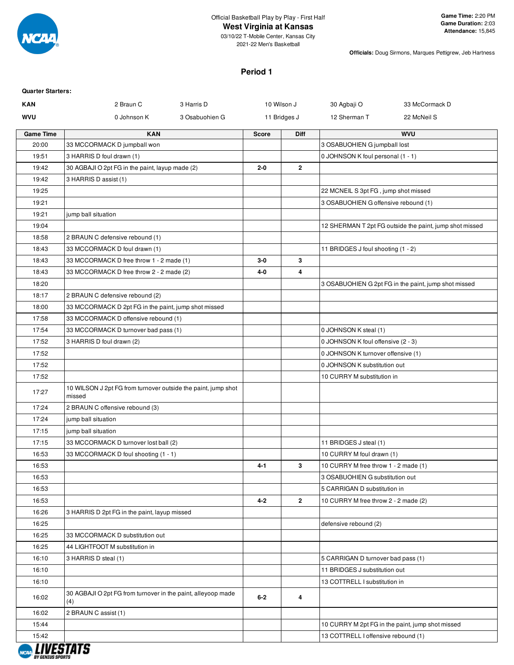

#### **West Virginia at Kansas**

03/10/22 T-Mobile Center, Kansas City 2021-22 Men's Basketball

**Officials:** Doug Sirmons, Marques Pettigrew, Jeb Hartness

#### **Period 1**

| <b>Quarter Starters:</b> |                                                                         |                |              |                |                                      |                                                         |
|--------------------------|-------------------------------------------------------------------------|----------------|--------------|----------------|--------------------------------------|---------------------------------------------------------|
| <b>KAN</b>               | 2 Braun C                                                               | 3 Harris D     |              | 10 Wilson J    | 30 Agbaji O                          | 33 McCormack D                                          |
| <b>WVU</b>               | 0 Johnson K                                                             | 3 Osabuohien G |              | 11 Bridges J   | 12 Sherman T                         | 22 McNeil S                                             |
| <b>Game Time</b>         | <b>KAN</b>                                                              |                | <b>Score</b> | Diff           |                                      | <b>WVU</b>                                              |
| 20:00                    | 33 MCCORMACK D jumpball won                                             |                |              |                | 3 OSABUOHIEN G jumpball lost         |                                                         |
| 19:51                    | 3 HARRIS D foul drawn (1)                                               |                |              |                | 0 JOHNSON K foul personal (1 - 1)    |                                                         |
| 19:42                    | 30 AGBAJI O 2pt FG in the paint, layup made (2)                         |                | $2 - 0$      | $\overline{2}$ |                                      |                                                         |
| 19:42                    | 3 HARRIS D assist (1)                                                   |                |              |                |                                      |                                                         |
| 19:25                    |                                                                         |                |              |                | 22 MCNEIL S 3pt FG, jump shot missed |                                                         |
| 19:21                    |                                                                         |                |              |                | 3 OSABUOHIEN G offensive rebound (1) |                                                         |
| 19:21                    | jump ball situation                                                     |                |              |                |                                      |                                                         |
| 19:04                    |                                                                         |                |              |                |                                      | 12 SHERMAN T 2pt FG outside the paint, jump shot missed |
| 18:58                    | 2 BRAUN C defensive rebound (1)                                         |                |              |                |                                      |                                                         |
| 18:43                    | 33 MCCORMACK D foul drawn (1)                                           |                |              |                | 11 BRIDGES J foul shooting (1 - 2)   |                                                         |
| 18:43                    | 33 MCCORMACK D free throw 1 - 2 made (1)                                |                | $3-0$        | 3              |                                      |                                                         |
| 18:43                    | 33 MCCORMACK D free throw 2 - 2 made (2)                                |                | 4-0          | 4              |                                      |                                                         |
| 18:20                    |                                                                         |                |              |                |                                      | 3 OSABUOHIEN G 2pt FG in the paint, jump shot missed    |
| 18:17                    | 2 BRAUN C defensive rebound (2)                                         |                |              |                |                                      |                                                         |
| 18:00                    | 33 MCCORMACK D 2pt FG in the paint, jump shot missed                    |                |              |                |                                      |                                                         |
| 17:58                    | 33 MCCORMACK D offensive rebound (1)                                    |                |              |                |                                      |                                                         |
| 17:54                    | 33 MCCORMACK D turnover bad pass (1)                                    |                |              |                | 0 JOHNSON K steal (1)                |                                                         |
| 17:52                    | 3 HARRIS D foul drawn (2)                                               |                |              |                | 0 JOHNSON K foul offensive (2 - 3)   |                                                         |
| 17:52                    |                                                                         |                |              |                | 0 JOHNSON K turnover offensive (1)   |                                                         |
| 17:52                    |                                                                         |                |              |                | 0 JOHNSON K substitution out         |                                                         |
| 17:52                    |                                                                         |                |              |                | 10 CURRY M substitution in           |                                                         |
| 17:27                    | 10 WILSON J 2pt FG from turnover outside the paint, jump shot<br>missed |                |              |                |                                      |                                                         |
| 17:24                    | 2 BRAUN C offensive rebound (3)                                         |                |              |                |                                      |                                                         |
| 17:24                    | jump ball situation                                                     |                |              |                |                                      |                                                         |
| 17:15                    | jump ball situation                                                     |                |              |                |                                      |                                                         |
| 17:15                    | 33 MCCORMACK D turnover lost ball (2)                                   |                |              |                | 11 BRIDGES J steal (1)               |                                                         |
| 16:53                    | 33 MCCORMACK D foul shooting (1 - 1)                                    |                |              |                | 10 CURRY M foul drawn (1)            |                                                         |
| 16:53                    |                                                                         |                | 4-1          | 3              | 10 CURRY M free throw 1 - 2 made (1) |                                                         |
| 16:53                    |                                                                         |                |              |                | 3 OSABUOHIEN G substitution out      |                                                         |
| 16:53                    |                                                                         |                |              |                | 5 CARRIGAN D substitution in         |                                                         |
| 16:53                    |                                                                         |                | $4 - 2$      | $\overline{2}$ | 10 CURRY M free throw 2 - 2 made (2) |                                                         |
| 16:26                    | 3 HARRIS D 2pt FG in the paint, layup missed                            |                |              |                |                                      |                                                         |
| 16:25                    |                                                                         |                |              |                | defensive rebound (2)                |                                                         |
| 16:25                    | 33 MCCORMACK D substitution out                                         |                |              |                |                                      |                                                         |
| 16:25                    | 44 LIGHTFOOT M substitution in                                          |                |              |                |                                      |                                                         |
| 16:10                    | 3 HARRIS D steal (1)                                                    |                |              |                | 5 CARRIGAN D turnover bad pass (1)   |                                                         |
| 16:10                    |                                                                         |                |              |                | 11 BRIDGES J substitution out        |                                                         |
| 16:10                    |                                                                         |                |              |                | 13 COTTRELL I substitution in        |                                                         |
| 16:02                    | 30 AGBAJI O 2pt FG from turnover in the paint, alleyoop made<br>(4)     |                | $6 - 2$      | 4              |                                      |                                                         |
| 16:02                    | 2 BRAUN C assist (1)                                                    |                |              |                |                                      |                                                         |
| 15:44                    |                                                                         |                |              |                |                                      | 10 CURRY M 2pt FG in the paint, jump shot missed        |
| 15:42                    | IIIIEA.                                                                 |                |              |                | 13 COTTRELL I offensive rebound (1)  |                                                         |

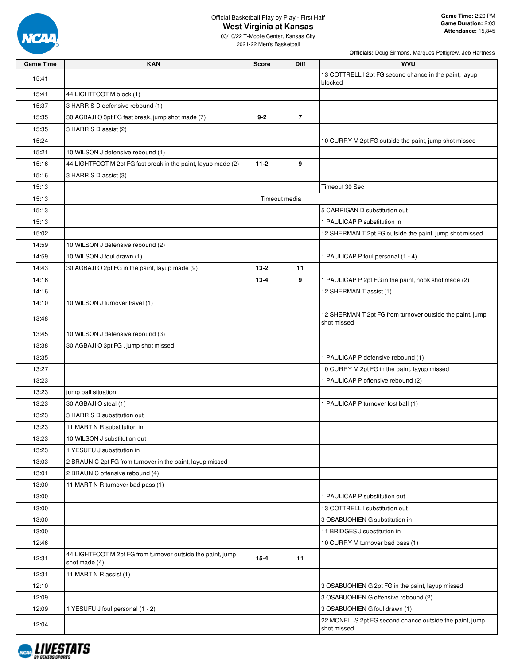

### **West Virginia at Kansas**

03/10/22 T-Mobile Center, Kansas City 2021-22 Men's Basketball

| Game Time | <b>KAN</b>                                                                     | <b>Score</b> | Diff           | <b>WVU</b>                                                               |
|-----------|--------------------------------------------------------------------------------|--------------|----------------|--------------------------------------------------------------------------|
| 15:41     |                                                                                |              |                | 13 COTTRELL I 2pt FG second chance in the paint, layup                   |
|           |                                                                                |              |                | blocked                                                                  |
| 15:41     | 44 LIGHTFOOT M block (1)                                                       |              |                |                                                                          |
| 15:37     | 3 HARRIS D defensive rebound (1)                                               |              |                |                                                                          |
| 15:35     | 30 AGBAJI O 3pt FG fast break, jump shot made (7)                              | $9 - 2$      | $\overline{7}$ |                                                                          |
| 15:35     | 3 HARRIS D assist (2)                                                          |              |                |                                                                          |
| 15:24     |                                                                                |              |                | 10 CURRY M 2pt FG outside the paint, jump shot missed                    |
| 15:21     | 10 WILSON J defensive rebound (1)                                              |              |                |                                                                          |
| 15:16     | 44 LIGHTFOOT M 2pt FG fast break in the paint, layup made (2)                  | $11-2$       | 9              |                                                                          |
| 15:16     | 3 HARRIS D assist (3)                                                          |              |                |                                                                          |
| 15:13     |                                                                                |              |                | Timeout 30 Sec                                                           |
| 15:13     |                                                                                |              | Timeout media  |                                                                          |
| 15:13     |                                                                                |              |                | 5 CARRIGAN D substitution out                                            |
| 15:13     |                                                                                |              |                | 1 PAULICAP P substitution in                                             |
| 15:02     |                                                                                |              |                | 12 SHERMAN T 2pt FG outside the paint, jump shot missed                  |
| 14:59     | 10 WILSON J defensive rebound (2)                                              |              |                |                                                                          |
| 14:59     | 10 WILSON J foul drawn (1)                                                     |              |                | 1 PAULICAP P foul personal (1 - 4)                                       |
| 14:43     | 30 AGBAJI O 2pt FG in the paint, layup made (9)                                | $13 - 2$     | 11             |                                                                          |
| 14:16     |                                                                                | $13 - 4$     | 9              | 1 PAULICAP P 2pt FG in the paint, hook shot made (2)                     |
| 14:16     |                                                                                |              |                | 12 SHERMAN T assist (1)                                                  |
| 14:10     | 10 WILSON J turnover travel (1)                                                |              |                |                                                                          |
| 13:48     |                                                                                |              |                | 12 SHERMAN T 2pt FG from turnover outside the paint, jump<br>shot missed |
| 13:45     | 10 WILSON J defensive rebound (3)                                              |              |                |                                                                          |
| 13:38     | 30 AGBAJI O 3pt FG, jump shot missed                                           |              |                |                                                                          |
| 13:35     |                                                                                |              |                | 1 PAULICAP P defensive rebound (1)                                       |
| 13:27     |                                                                                |              |                | 10 CURRY M 2pt FG in the paint, layup missed                             |
| 13:23     |                                                                                |              |                | 1 PAULICAP P offensive rebound (2)                                       |
| 13:23     | jump ball situation                                                            |              |                |                                                                          |
| 13:23     | 30 AGBAJI O steal (1)                                                          |              |                | 1 PAULICAP P turnover lost ball (1)                                      |
| 13:23     | 3 HARRIS D substitution out                                                    |              |                |                                                                          |
| 13:23     | 11 MARTIN R substitution in                                                    |              |                |                                                                          |
| 13:23     | 10 WILSON J substitution out                                                   |              |                |                                                                          |
| 13:23     | 1 YESUFU J substitution in                                                     |              |                |                                                                          |
| 13:03     | 2 BRAUN C 2pt FG from turnover in the paint, layup missed                      |              |                |                                                                          |
| 13:01     | 2 BRAUN C offensive rebound (4)                                                |              |                |                                                                          |
| 13:00     | 11 MARTIN R turnover bad pass (1)                                              |              |                |                                                                          |
| 13:00     |                                                                                |              |                | 1 PAULICAP P substitution out                                            |
| 13:00     |                                                                                |              |                | 13 COTTRELL I substitution out                                           |
| 13:00     |                                                                                |              |                | 3 OSABUOHIEN G substitution in                                           |
| 13:00     |                                                                                |              |                | 11 BRIDGES J substitution in                                             |
| 12:46     |                                                                                |              |                | 10 CURRY M turnover bad pass (1)                                         |
| 12:31     | 44 LIGHTFOOT M 2pt FG from turnover outside the paint, jump<br>shot made $(4)$ | $15 - 4$     | 11             |                                                                          |
| 12:31     | 11 MARTIN R assist (1)                                                         |              |                |                                                                          |
| 12:10     |                                                                                |              |                | 3 OSABUOHIEN G 2pt FG in the paint, layup missed                         |
| 12:09     |                                                                                |              |                | 3 OSABUOHIEN G offensive rebound (2)                                     |
| 12:09     | 1 YESUFU J foul personal (1 - 2)                                               |              |                | 3 OSABUOHIEN G foul drawn (1)                                            |
| 12:04     |                                                                                |              |                | 22 MCNEIL S 2pt FG second chance outside the paint, jump<br>shot missed  |

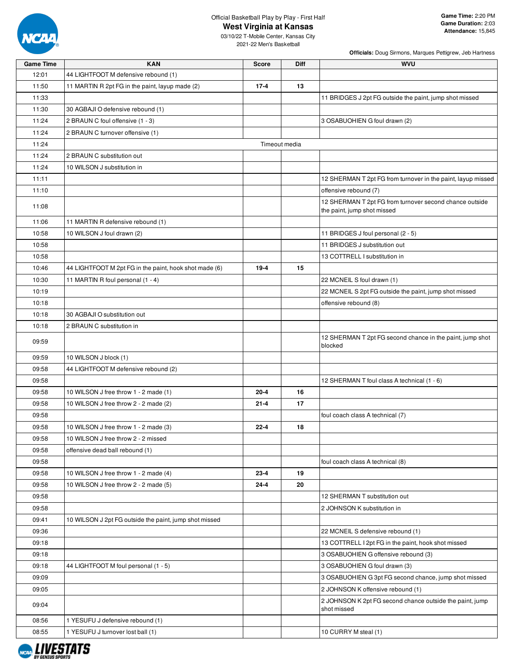

# **West Virginia at Kansas**

03/10/22 T-Mobile Center, Kansas City 2021-22 Men's Basketball

| <b>Game Time</b> | <b>KAN</b>                                             | <b>Score</b> | <b>Diff</b>   | <b>WVU</b>                                                                             |
|------------------|--------------------------------------------------------|--------------|---------------|----------------------------------------------------------------------------------------|
| 12:01            | 44 LIGHTFOOT M defensive rebound (1)                   |              |               |                                                                                        |
| 11:50            | 11 MARTIN R 2pt FG in the paint, layup made (2)        | $17 - 4$     | 13            |                                                                                        |
| 11:33            |                                                        |              |               | 11 BRIDGES J 2pt FG outside the paint, jump shot missed                                |
| 11:30            | 30 AGBAJI O defensive rebound (1)                      |              |               |                                                                                        |
| 11:24            | 2 BRAUN C foul offensive (1 - 3)                       |              |               | 3 OSABUOHIEN G foul drawn (2)                                                          |
| 11:24            | 2 BRAUN C turnover offensive (1)                       |              |               |                                                                                        |
| 11:24            |                                                        |              | Timeout media |                                                                                        |
| 11:24            | 2 BRAUN C substitution out                             |              |               |                                                                                        |
| 11:24            | 10 WILSON J substitution in                            |              |               |                                                                                        |
| 11:11            |                                                        |              |               | 12 SHERMAN T 2pt FG from turnover in the paint, layup missed                           |
| 11:10            |                                                        |              |               | offensive rebound (7)                                                                  |
| 11:08            |                                                        |              |               | 12 SHERMAN T 2pt FG from turnover second chance outside<br>the paint, jump shot missed |
| 11:06            | 11 MARTIN R defensive rebound (1)                      |              |               |                                                                                        |
| 10:58            | 10 WILSON J foul drawn (2)                             |              |               | 11 BRIDGES J foul personal (2 - 5)                                                     |
| 10:58            |                                                        |              |               | 11 BRIDGES J substitution out                                                          |
| 10:58            |                                                        |              |               | 13 COTTRELL I substitution in                                                          |
| 10:46            | 44 LIGHTFOOT M 2pt FG in the paint, hook shot made (6) | $19 - 4$     | 15            |                                                                                        |
| 10:30            | 11 MARTIN R foul personal (1 - 4)                      |              |               | 22 MCNEIL S foul drawn (1)                                                             |
| 10:19            |                                                        |              |               | 22 MCNEIL S 2pt FG outside the paint, jump shot missed                                 |
| 10:18            |                                                        |              |               | offensive rebound (8)                                                                  |
| 10:18            | 30 AGBAJI O substitution out                           |              |               |                                                                                        |
| 10:18            | 2 BRAUN C substitution in                              |              |               |                                                                                        |
| 09:59            |                                                        |              |               | 12 SHERMAN T 2pt FG second chance in the paint, jump shot<br>blocked                   |
| 09:59            | 10 WILSON J block (1)                                  |              |               |                                                                                        |
| 09:58            | 44 LIGHTFOOT M defensive rebound (2)                   |              |               |                                                                                        |
| 09:58            |                                                        |              |               | 12 SHERMAN T foul class A technical (1 - 6)                                            |
| 09:58            | 10 WILSON J free throw 1 - 2 made (1)                  | $20 - 4$     | 16            |                                                                                        |
| 09:58            | 10 WILSON J free throw 2 - 2 made (2)                  | $21 - 4$     | 17            |                                                                                        |
| 09:58            |                                                        |              |               | foul coach class A technical (7)                                                       |
| 09:58            | 10 WILSON J free throw 1 - 2 made (3)                  | $22 - 4$     | 18            |                                                                                        |
| 09:58            | 10 WILSON J free throw 2 - 2 missed                    |              |               |                                                                                        |
| 09:58            | offensive dead ball rebound (1)                        |              |               |                                                                                        |
| 09:58            |                                                        |              |               | foul coach class A technical (8)                                                       |
| 09:58            | 10 WILSON J free throw 1 - 2 made (4)                  | $23 - 4$     | 19            |                                                                                        |
| 09:58            | 10 WILSON J free throw 2 - 2 made (5)                  | $24 - 4$     | 20            |                                                                                        |
| 09:58            |                                                        |              |               | 12 SHERMAN T substitution out                                                          |
| 09:58            |                                                        |              |               | 2 JOHNSON K substitution in                                                            |
| 09:41            | 10 WILSON J 2pt FG outside the paint, jump shot missed |              |               |                                                                                        |
| 09:36            |                                                        |              |               | 22 MCNEIL S defensive rebound (1)                                                      |
| 09:18            |                                                        |              |               | 13 COTTRELL I 2pt FG in the paint, hook shot missed                                    |
| 09:18            |                                                        |              |               | 3 OSABUOHIEN G offensive rebound (3)                                                   |
| 09:18            | 44 LIGHTFOOT M foul personal (1 - 5)                   |              |               | 3 OSABUOHIEN G foul drawn (3)                                                          |
| 09:09            |                                                        |              |               | 3 OSABUOHIEN G 3pt FG second chance, jump shot missed                                  |
| 09:05            |                                                        |              |               | 2 JOHNSON K offensive rebound (1)                                                      |
| 09:04            |                                                        |              |               | 2 JOHNSON K 2pt FG second chance outside the paint, jump<br>shot missed                |
| 08:56            | 1 YESUFU J defensive rebound (1)                       |              |               |                                                                                        |
| 08:55            | 1 YESUFU J turnover lost ball (1)                      |              |               | 10 CURRY M steal (1)                                                                   |

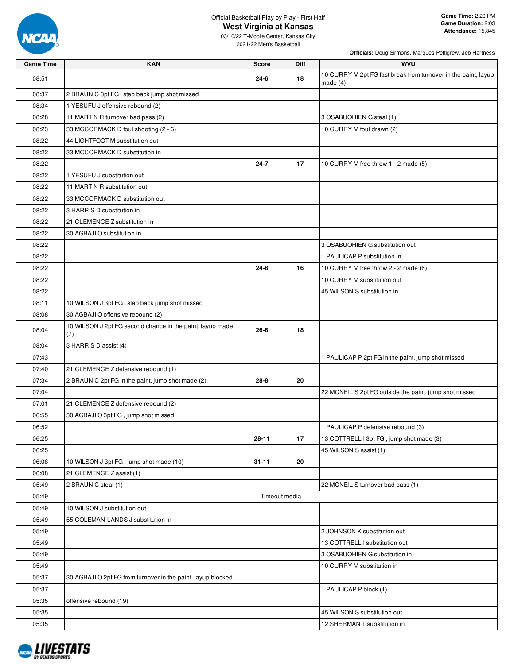

03/10/22 T-Mobile Center, Kansas City 2021-22 Men's Basketball

| <b>Game Time</b> | <b>KAN</b>                                                       | <b>Score</b>  | Diff | <b>WVU</b>                                                                   |
|------------------|------------------------------------------------------------------|---------------|------|------------------------------------------------------------------------------|
| 08:51            |                                                                  | 24-6          | 18   | 10 CURRY M 2pt FG fast break from turnover in the paint, layup<br>made $(4)$ |
| 08:37            | 2 BRAUN C 3pt FG, step back jump shot missed                     |               |      |                                                                              |
| 08:34            | 1 YESUFU J offensive rebound (2)                                 |               |      |                                                                              |
| 08:28            | 11 MARTIN R turnover bad pass (2)                                |               |      | 3 OSABUOHIEN G steal (1)                                                     |
| 08:23            | 33 MCCORMACK D foul shooting (2 - 6)                             |               |      | 10 CURRY M foul drawn (2)                                                    |
| 08:22            | 44 LIGHTFOOT M substitution out                                  |               |      |                                                                              |
| 08:22            | 33 MCCORMACK D substitution in                                   |               |      |                                                                              |
| 08:22            |                                                                  | $24 - 7$      | 17   | 10 CURRY M free throw 1 - 2 made (5)                                         |
| 08:22            | 1 YESUFU J substitution out                                      |               |      |                                                                              |
| 08:22            | 11 MARTIN R substitution out                                     |               |      |                                                                              |
| 08:22            | 33 MCCORMACK D substitution out                                  |               |      |                                                                              |
| 08:22            | 3 HARRIS D substitution in                                       |               |      |                                                                              |
| 08:22            | 21 CLEMENCE Z substitution in                                    |               |      |                                                                              |
| 08:22            | 30 AGBAJI O substitution in                                      |               |      |                                                                              |
| 08:22            |                                                                  |               |      | 3 OSABUOHIEN G substitution out                                              |
| 08:22            |                                                                  |               |      | 1 PAULICAP P substitution in                                                 |
| 08:22            |                                                                  | $24 - 8$      | 16   | 10 CURRY M free throw 2 - 2 made (6)                                         |
| 08:22            |                                                                  |               |      | 10 CURRY M substitution out                                                  |
| 08:22            |                                                                  |               |      | 45 WILSON S substitution in                                                  |
| 08:11            | 10 WILSON J 3pt FG, step back jump shot missed                   |               |      |                                                                              |
| 08:08            | 30 AGBAJI O offensive rebound (2)                                |               |      |                                                                              |
| 08:04            | 10 WILSON J 2pt FG second chance in the paint, layup made<br>(7) | $26 - 8$      | 18   |                                                                              |
| 08:04            | 3 HARRIS D assist (4)                                            |               |      |                                                                              |
| 07:43            |                                                                  |               |      | 1 PAULICAP P 2pt FG in the paint, jump shot missed                           |
| 07:40            | 21 CLEMENCE Z defensive rebound (1)                              |               |      |                                                                              |
| 07:34            | 2 BRAUN C 2pt FG in the paint, jump shot made (2)                | $28 - 8$      | 20   |                                                                              |
| 07:04            |                                                                  |               |      | 22 MCNEIL S 2pt FG outside the paint, jump shot missed                       |
| 07:01            | 21 CLEMENCE Z defensive rebound (2)                              |               |      |                                                                              |
| 06:55            | 30 AGBAJI O 3pt FG, jump shot missed                             |               |      |                                                                              |
| 06:52            |                                                                  |               |      | 1 PAULICAP P defensive rebound (3)                                           |
| 06:25            |                                                                  | 28-11         | 17   | 13 COTTRELL I 3pt FG, jump shot made (3)                                     |
| 06:25            |                                                                  |               |      | 45 WILSON S assist (1)                                                       |
| 06:08            | 10 WILSON J 3pt FG, jump shot made (10)                          | $31 - 11$     | 20   |                                                                              |
| 06:08            | 21 CLEMENCE Z assist (1)                                         |               |      |                                                                              |
| 05:49            | 2 BRAUN C steal (1)                                              |               |      | 22 MCNEIL S turnover bad pass (1)                                            |
| 05:49            |                                                                  | Timeout media |      |                                                                              |
| 05:49            | 10 WILSON J substitution out                                     |               |      |                                                                              |
| 05:49            | 55 COLEMAN-LANDS J substitution in                               |               |      |                                                                              |
| 05:49            |                                                                  |               |      | 2 JOHNSON K substitution out                                                 |
| 05:49            |                                                                  |               |      | 13 COTTRELL I substitution out                                               |
| 05:49            |                                                                  |               |      | 3 OSABUOHIEN G substitution in                                               |
| 05:49            |                                                                  |               |      | 10 CURRY M substitution in                                                   |
| 05:37            | 30 AGBAJI O 2pt FG from turnover in the paint, layup blocked     |               |      |                                                                              |
| 05:37            |                                                                  |               |      | 1 PAULICAP P block (1)                                                       |
| 05:35            | offensive rebound (19)                                           |               |      |                                                                              |
| 05:35            |                                                                  |               |      | 45 WILSON S substitution out                                                 |
| 05:35            |                                                                  |               |      | 12 SHERMAN T substitution in                                                 |

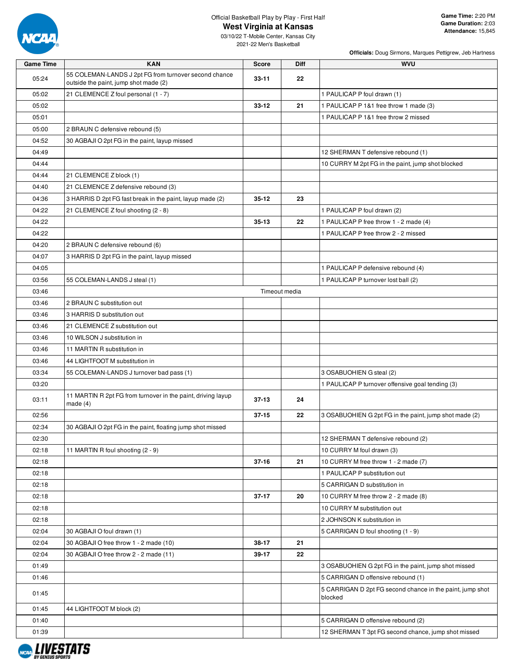

03/10/22 T-Mobile Center, Kansas City 2021-22 Men's Basketball

| <b>Game Time</b> | <b>KAN</b>                                                                                     | <b>Score</b>  | Diff | <b>WVU</b>                                                                                      |
|------------------|------------------------------------------------------------------------------------------------|---------------|------|-------------------------------------------------------------------------------------------------|
| 05:24            | 55 COLEMAN-LANDS J 2pt FG from turnover second chance<br>outside the paint, jump shot made (2) | $33 - 11$     | 22   |                                                                                                 |
| 05:02            | 21 CLEMENCE Z foul personal (1 - 7)                                                            |               |      | 1 PAULICAP P foul drawn (1)                                                                     |
| 05:02            |                                                                                                | $33 - 12$     | 21   | 1 PAULICAP P 1&1 free throw 1 made (3)                                                          |
| 05:01            |                                                                                                |               |      | 1 PAULICAP P 1&1 free throw 2 missed                                                            |
| 05:00            | 2 BRAUN C defensive rebound (5)                                                                |               |      |                                                                                                 |
| 04:52            | 30 AGBAJI O 2pt FG in the paint, layup missed                                                  |               |      |                                                                                                 |
| 04:49            |                                                                                                |               |      | 12 SHERMAN T defensive rebound (1)                                                              |
| 04:44            |                                                                                                |               |      | 10 CURRY M 2pt FG in the paint, jump shot blocked                                               |
| 04:44            | 21 CLEMENCE Z block (1)                                                                        |               |      |                                                                                                 |
| 04:40            | 21 CLEMENCE Z defensive rebound (3)                                                            |               |      |                                                                                                 |
| 04:36            | 3 HARRIS D 2pt FG fast break in the paint, layup made (2)                                      | $35 - 12$     | 23   |                                                                                                 |
| 04:22            | 21 CLEMENCE Z foul shooting (2 - 8)                                                            |               |      | 1 PAULICAP P foul drawn (2)                                                                     |
| 04:22            |                                                                                                | $35 - 13$     | 22   | 1 PAULICAP P free throw 1 - 2 made (4)                                                          |
| 04:22            |                                                                                                |               |      | 1 PAULICAP P free throw 2 - 2 missed                                                            |
| 04:20            | 2 BRAUN C defensive rebound (6)                                                                |               |      |                                                                                                 |
| 04:07            | 3 HARRIS D 2pt FG in the paint, layup missed                                                   |               |      |                                                                                                 |
| 04:05            |                                                                                                |               |      | 1 PAULICAP P defensive rebound (4)                                                              |
| 03:56            | 55 COLEMAN-LANDS J steal (1)                                                                   |               |      | 1 PAULICAP P turnover lost ball (2)                                                             |
| 03:46            |                                                                                                | Timeout media |      |                                                                                                 |
| 03:46            | 2 BRAUN C substitution out                                                                     |               |      |                                                                                                 |
| 03:46            | 3 HARRIS D substitution out                                                                    |               |      |                                                                                                 |
| 03:46            | 21 CLEMENCE Z substitution out                                                                 |               |      |                                                                                                 |
| 03:46            | 10 WILSON J substitution in                                                                    |               |      |                                                                                                 |
| 03:46            | 11 MARTIN R substitution in                                                                    |               |      |                                                                                                 |
| 03:46            | 44 LIGHTFOOT M substitution in                                                                 |               |      |                                                                                                 |
| 03:34            | 55 COLEMAN-LANDS J turnover bad pass (1)                                                       |               |      | 3 OSABUOHIEN G steal (2)                                                                        |
| 03:20            |                                                                                                |               |      | 1 PAULICAP P turnover offensive goal tending (3)                                                |
| 03:11            | 11 MARTIN R 2pt FG from turnover in the paint, driving layup<br>made $(4)$                     | $37 - 13$     | 24   |                                                                                                 |
| 02:56            |                                                                                                | $37 - 15$     | 22   | 3 OSABUOHIEN G 2pt FG in the paint, jump shot made (2)                                          |
| 02:34            | 30 AGBAJI O 2pt FG in the paint, floating jump shot missed                                     |               |      |                                                                                                 |
| 02:30            |                                                                                                |               |      | 12 SHERMAN T defensive rebound (2)                                                              |
|                  |                                                                                                |               |      |                                                                                                 |
| 02:18<br>02:18   | 11 MARTIN R foul shooting (2 - 9)                                                              | $37 - 16$     | 21   | 10 CURRY M foul drawn (3)<br>10 CURRY M free throw 1 - 2 made (7)                               |
| 02:18            |                                                                                                |               |      | 1 PAULICAP P substitution out                                                                   |
| 02:18            |                                                                                                |               |      | 5 CARRIGAN D substitution in                                                                    |
| 02:18            |                                                                                                | $37 - 17$     | 20   | 10 CURRY M free throw 2 - 2 made (8)                                                            |
| 02:18            |                                                                                                |               |      | 10 CURRY M substitution out                                                                     |
| 02:18            |                                                                                                |               |      | 2 JOHNSON K substitution in                                                                     |
| 02:04            | 30 AGBAJI O foul drawn (1)                                                                     |               |      | 5 CARRIGAN D foul shooting (1 - 9)                                                              |
| 02:04            | 30 AGBAJI O free throw 1 - 2 made (10)                                                         | 38-17         | 21   |                                                                                                 |
|                  |                                                                                                |               | 22   |                                                                                                 |
| 02:04<br>01:49   | 30 AGBAJI O free throw 2 - 2 made (11)                                                         | 39-17         |      | 3 OSABUOHIEN G 2pt FG in the paint, jump shot missed                                            |
|                  |                                                                                                |               |      |                                                                                                 |
| 01:46            |                                                                                                |               |      | 5 CARRIGAN D offensive rebound (1)<br>5 CARRIGAN D 2pt FG second chance in the paint, jump shot |
| 01:45            |                                                                                                |               |      | blocked                                                                                         |
| 01:45            | 44 LIGHTFOOT M block (2)                                                                       |               |      |                                                                                                 |
| 01:40            |                                                                                                |               |      | 5 CARRIGAN D offensive rebound (2)                                                              |
| 01:39            |                                                                                                |               |      | 12 SHERMAN T 3pt FG second chance, jump shot missed                                             |

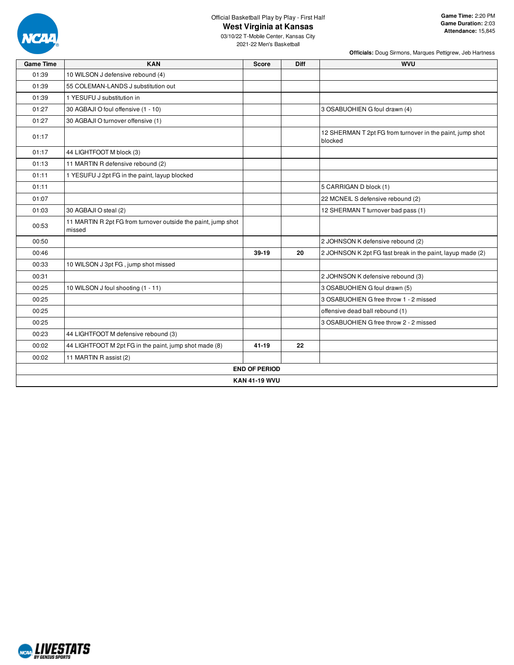

# Official Basketball Play by Play - First Half

**Game Time:** 2:20 PM **Game Duration:** 2:03 **Attendance:** 15,845

03/10/22 T-Mobile Center, Kansas City 2021-22 Men's Basketball

|                  |                                                                         | Officials: Doug Sirmons, Marques Pettigrew, Jeb Hartness |      |                                                                      |  |  |  |  |  |  |  |
|------------------|-------------------------------------------------------------------------|----------------------------------------------------------|------|----------------------------------------------------------------------|--|--|--|--|--|--|--|
| <b>Game Time</b> | <b>KAN</b>                                                              | <b>Score</b>                                             | Diff | <b>WVU</b>                                                           |  |  |  |  |  |  |  |
| 01:39            | 10 WILSON J defensive rebound (4)                                       |                                                          |      |                                                                      |  |  |  |  |  |  |  |
| 01:39            | 55 COLEMAN-LANDS J substitution out                                     |                                                          |      |                                                                      |  |  |  |  |  |  |  |
| 01:39            | 1 YESUFU J substitution in                                              |                                                          |      |                                                                      |  |  |  |  |  |  |  |
| 01:27            | 30 AGBAJI O foul offensive (1 - 10)                                     |                                                          |      | 3 OSABUOHIEN G foul drawn (4)                                        |  |  |  |  |  |  |  |
| 01:27            | 30 AGBAJI O turnover offensive (1)                                      |                                                          |      |                                                                      |  |  |  |  |  |  |  |
| 01:17            |                                                                         |                                                          |      | 12 SHERMAN T 2pt FG from turnover in the paint, jump shot<br>blocked |  |  |  |  |  |  |  |
| 01:17            | 44 LIGHTFOOT M block (3)                                                |                                                          |      |                                                                      |  |  |  |  |  |  |  |
| 01:13            | 11 MARTIN R defensive rebound (2)                                       |                                                          |      |                                                                      |  |  |  |  |  |  |  |
| 01:11            | 1 YESUFU J 2pt FG in the paint, layup blocked                           |                                                          |      |                                                                      |  |  |  |  |  |  |  |
| 01:11            |                                                                         |                                                          |      | 5 CARRIGAN D block (1)                                               |  |  |  |  |  |  |  |
| 01:07            |                                                                         |                                                          |      | 22 MCNEIL S defensive rebound (2)                                    |  |  |  |  |  |  |  |
| 01:03            | 30 AGBAJI O steal (2)                                                   |                                                          |      | 12 SHERMAN T turnover bad pass (1)                                   |  |  |  |  |  |  |  |
| 00:53            | 11 MARTIN R 2pt FG from turnover outside the paint, jump shot<br>missed |                                                          |      |                                                                      |  |  |  |  |  |  |  |
| 00:50            |                                                                         |                                                          |      | 2 JOHNSON K defensive rebound (2)                                    |  |  |  |  |  |  |  |
| 00:46            |                                                                         | 39-19                                                    | 20   | 2 JOHNSON K 2pt FG fast break in the paint, layup made (2)           |  |  |  |  |  |  |  |
| 00:33            | 10 WILSON J 3pt FG, jump shot missed                                    |                                                          |      |                                                                      |  |  |  |  |  |  |  |
| 00:31            |                                                                         |                                                          |      | 2 JOHNSON K defensive rebound (3)                                    |  |  |  |  |  |  |  |
| 00:25            | 10 WILSON J foul shooting (1 - 11)                                      |                                                          |      | 3 OSABUOHIEN G foul drawn (5)                                        |  |  |  |  |  |  |  |
| 00:25            |                                                                         |                                                          |      | 3 OSABUOHIEN G free throw 1 - 2 missed                               |  |  |  |  |  |  |  |
| 00:25            |                                                                         |                                                          |      | offensive dead ball rebound (1)                                      |  |  |  |  |  |  |  |
| 00:25            |                                                                         |                                                          |      | 3 OSABUOHIEN G free throw 2 - 2 missed                               |  |  |  |  |  |  |  |
| 00:23            | 44 LIGHTFOOT M defensive rebound (3)                                    |                                                          |      |                                                                      |  |  |  |  |  |  |  |
| 00:02            | 44 LIGHTFOOT M 2pt FG in the paint, jump shot made (8)                  | $41 - 19$                                                | 22   |                                                                      |  |  |  |  |  |  |  |
| 00:02            | 11 MARTIN R assist (2)                                                  |                                                          |      |                                                                      |  |  |  |  |  |  |  |
|                  |                                                                         | <b>END OF PERIOD</b>                                     |      |                                                                      |  |  |  |  |  |  |  |
|                  |                                                                         | <b>KAN 41-19 WVU</b>                                     |      |                                                                      |  |  |  |  |  |  |  |
|                  |                                                                         |                                                          |      |                                                                      |  |  |  |  |  |  |  |

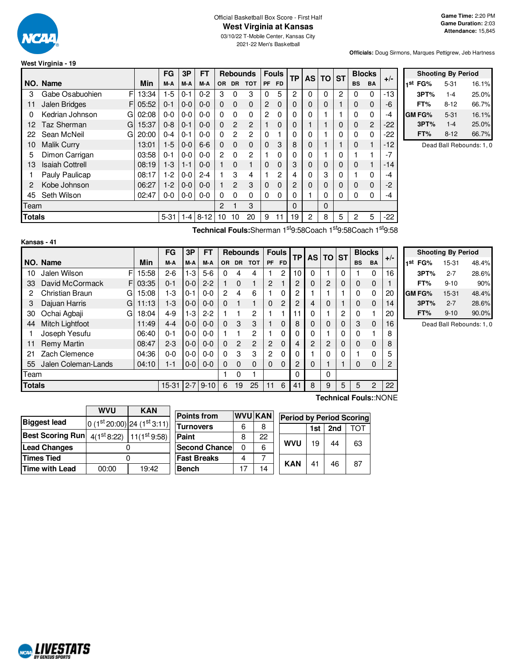

**Kansas - 41**

#### Official Basketball Box Score - First Half **West Virginia at Kansas**

03/10/22 T-Mobile Center, Kansas City

2021-22 Men's Basketball

**Officials:** Doug Sirmons, Marques Pettigrew, Jeb Hartness

| West Virginia - 19 |  |  |
|--------------------|--|--|
|--------------------|--|--|

|               |                        |       | <b>FG</b> | 3P      | FT       |                |                | <b>Rebounds</b> |              | <b>Fouls</b>  | <b>TP</b> | <b>AS</b>      | <b>TO</b> | <b>ST</b> |                | <b>Blocks</b> | $+/-$ |
|---------------|------------------------|-------|-----------|---------|----------|----------------|----------------|-----------------|--------------|---------------|-----------|----------------|-----------|-----------|----------------|---------------|-------|
|               | NO. Name               | Min   | M-A       | M-A     | M-A      | <b>OR</b>      | <b>DR</b>      | <b>TOT</b>      | <b>PF</b>    | <b>FD</b>     |           |                |           |           | <b>BS</b>      | <b>BA</b>     |       |
| 3             | Gabe Osabuohien<br>F   | 13:34 | $1-5$     | $0 - 1$ | $0 - 2$  | 3              | 0              | 3               | 0            | 5             | 2         | 0              | $\Omega$  | 2         | 0              | 0             | -13   |
| 11            | Jalen Bridges<br>F     | 05:52 | $0 - 1$   | $0-0$   | $0 - 0$  | 0              | $\Omega$       | $\Omega$        | 2            | 0             | 0         | 0              | 0         |           | 0              | 0             | -6    |
| 0             | Kedrian Johnson<br>G   | 02:08 | $0 - 0$   | $0 - 0$ | $0 - 0$  | 0              | 0              | $\Omega$        | 2            | 0             | 0         | 0              |           |           | 0              | 0             | -4    |
| 12            | Taz Sherman<br>G       | 15:37 | $0 - 8$   | $0 - 1$ | $0 - 0$  | 0              | 2              | $\overline{2}$  |              | 0             | 0         |                |           | 0         | 0              | 2             | -22   |
| 22            | Sean McNeil<br>G       | 20:00 | $0 - 4$   | $0 - 1$ | $0 - 0$  | $\Omega$       | 2              | 2               | 0            |               | 0         | 0              |           | 0         | 0              | 0             | -22   |
| 10            | <b>Malik Curry</b>     | 13:01 | $1-5$     | $0 - 0$ | $6-6$    | 0              | $\Omega$       | 0               | $\mathbf{0}$ | 3             | 8         | 0              |           |           | $\Omega$       |               | $-12$ |
| 5             | Dimon Carrigan         | 03:58 | $0 - 1$   | $0 - 0$ | $0 - 0$  | $\overline{c}$ | 0              | 2               |              | 0             | 0         | 0              |           | 0         |                |               | $-7$  |
| 13            | <b>Isaiah Cottrell</b> | 08:19 | $1-3$     | $1 - 1$ | $0 - 0$  |                | $\Omega$       |                 | 0            | 0             | 3         | 0              | 0         | 0         | 0              |               | -14   |
|               | Pauly Paulicap         | 08:17 | $1-2$     | $0-0$   | $2 - 4$  |                | 3              | 4               |              | $\mathcal{P}$ | 4         | 0              | 3         | 0         |                | U             | -4    |
| 2             | Kobe Johnson           | 06:27 | $1-2$     | $0 - 0$ | $0 - 0$  |                | $\mathfrak{p}$ | 3               | 0            | 0             | 2         | 0              | 0         | 0         | $\Omega$       | 0             | $-2$  |
| 45            | Seth Wilson            | 02:47 | $0-0$     | $0-0$   | $0 - 0$  | $\Omega$       | 0              | $\Omega$        | 0            | 0             | 0         |                | 0         | 0         | 0              | 0             | -4    |
| Team          |                        |       |           |         |          | 2              |                | 3               |              |               | 0         |                | 0         |           |                |               |       |
| <b>Totals</b> |                        |       | $5 - 31$  | $1 - 4$ | $8 - 12$ | 10             | 10             | 20              | 9            | 11            | 19        | $\overline{c}$ | 8         | 5         | $\overline{c}$ | 5             | $-22$ |

|               | <b>Shooting By Period</b> |       |  |  |  |  |  |  |
|---------------|---------------------------|-------|--|--|--|--|--|--|
| 1st<br>FG%    | $5 - 31$                  | 16.1% |  |  |  |  |  |  |
| 3PT%          | $1 - 4$                   | 25.0% |  |  |  |  |  |  |
| FT%           | 8-12                      | 66.7% |  |  |  |  |  |  |
| <b>GM FG%</b> | $5 - 31$                  | 16.1% |  |  |  |  |  |  |
| 3PT%          | $1 - 4$                   | 25.0% |  |  |  |  |  |  |
| FT%           | $8-12$                    | 66.7% |  |  |  |  |  |  |

Dead Ball Rebounds: 1, 0

**Technical Fouls:**Sherman 1 st9:58Coach 1 st9:58Coach 1 st9:58

|               |                        |   |            | FG        | 3P      | <b>FT</b>    |           | <b>Rebounds</b> |              | <b>Fouls</b>   |           | <b>TP</b>      | AS.           | <b>TO</b> | <b>ST</b> |             | <b>Blocks</b> | $+/-$ |
|---------------|------------------------|---|------------|-----------|---------|--------------|-----------|-----------------|--------------|----------------|-----------|----------------|---------------|-----------|-----------|-------------|---------------|-------|
|               | NO. Name               |   | <b>Min</b> | M-A       | M-A     | M-A          | <b>OR</b> | <b>DR</b>       | <b>TOT</b>   | PF             | <b>FD</b> |                |               |           |           | <b>BS</b>   | <b>BA</b>     |       |
| 10            | Jalen Wilson           | F | 15:58      | $2 - 6$   | $1-3$   | $5-6$        | 0         | 4               | 4            |                | 2         | 10             | 0             |           | 0         |             | 0             | 16    |
| 33            | David McCormack        | F | 03:35      | $0 - 1$   | $0 - 0$ | $2 - 2$      |           | $\Omega$        |              | $\overline{c}$ |           | 2              | $\Omega$      | 2         | $\Omega$  | $\mathbf 0$ | $\Omega$      |       |
| 2             | <b>Christian Braun</b> | G | 15:08      | 1-3       | $0 - 1$ | $0 - 0$      | 2         | 4               | 6            |                | 0         | 2              |               |           |           | $\Omega$    | 0             | 20    |
| 3             | Dajuan Harris          | G | 11:13      | $1-3$     | $0 - 0$ | $0 - 0$      | $\Omega$  |                 |              | $\Omega$       | 2         | $\overline{2}$ | 4             | 0         |           | $\Omega$    | $\Omega$      | 14    |
| 30            | Ochai Agbaji           | G | 18:04      | $4 - 9$   | $1-3$   | $2 - 2$      |           |                 | 2            |                |           | 1              |               |           | 2         | 0           |               | 20    |
| 44            | Mitch Lightfoot        |   | 11:49      | $4 - 4$   | $0-0$   | $0 - 0$      | $\Omega$  | 3               | 3            |                | 0         | 8              | $\Omega$      | 0         | $\Omega$  | 3           | $\Omega$      | 16    |
|               | Joseph Yesufu          |   | 06:40      | $0 - 1$   | $0-0$   | $0 - 0$      |           |                 | 2            |                | 0         | 0              | 0             |           | 0         | 0           |               | 8     |
| 11            | <b>Remy Martin</b>     |   | 08:47      | $2 - 3$   | $0-0$   | $0 - 0$      | $\Omega$  | $\overline{2}$  | 2            | $\overline{2}$ | 0         | 4              | $\mathcal{P}$ | 2         | $\Omega$  | $\Omega$    | $\Omega$      | 8     |
| 21            | Zach Clemence          |   | 04:36      | $0-0$     | $0-0$   | $0 - 0$      | $\Omega$  | 3               | 3            | 2              | 0         | 0              |               | 0         |           |             | 0             | 5     |
| 55            | Jalen Coleman-Lands    |   | 04:10      | $1 - 1$   | $0 - 0$ | $0 - 0$      | $\Omega$  | $\Omega$        | $\mathbf{0}$ | $\Omega$       | 0         | $\mathbf{2}$   | $\Omega$      |           |           | $\Omega$    | $\Omega$      | 2     |
| Team          |                        |   |            |           |         |              |           | 0               |              |                |           | 0              |               | 0         |           |             |               |       |
| <b>Totals</b> |                        |   |            | $15 - 31$ |         | $2 - 7$ 9-10 | 6         | 19              | 25           | 11             | 6         | 41             | 8             | 9         | 5         | 5           | 2             | 22    |

| <b>Shooting By Period</b> |          |       |  |  |  |  |  |  |  |
|---------------------------|----------|-------|--|--|--|--|--|--|--|
| 1 <sup>st</sup> FG%       | 15-31    | 48.4% |  |  |  |  |  |  |  |
| 3PT%                      | $2 - 7$  | 28.6% |  |  |  |  |  |  |  |
| FT%                       | $9 - 10$ | 90%   |  |  |  |  |  |  |  |
| GM FG%                    | 15-31    | 48.4% |  |  |  |  |  |  |  |
| 3PT%                      | $2 - 7$  | 28.6% |  |  |  |  |  |  |  |
| FT%                       | $9 - 10$ | 90.0% |  |  |  |  |  |  |  |

Dead Ball Rebounds: 1, 0

|                         | wvu   | <b>KAN</b>                      |                       |    |                |                                 |     |                 |     |
|-------------------------|-------|---------------------------------|-----------------------|----|----------------|---------------------------------|-----|-----------------|-----|
|                         |       |                                 | <b>Points from</b>    |    | <b>WVU KAN</b> | <b>Period by Period Scoring</b> |     |                 |     |
| <b>Biggest lead</b>     |       | $ 0 (1st 20:00) 24 (1st 3:11) $ | <b>Turnovers</b>      | 6  | 8              |                                 | 1st | 2 <sub>nd</sub> | TOT |
| <b>Best Scoring Run</b> |       | $4(1st 8:22)$ 11( $1st 9:58$ )  | Paint                 | 8  | 22             |                                 |     |                 |     |
| <b>Lead Changes</b>     |       |                                 | <b>Second Chancel</b> | 0  | 6              | WVU                             | 19  | 44              | 63  |
| <b>Times Tied</b>       |       |                                 | <b>Fast Breaks</b>    | 4  |                | <b>KAN</b>                      | 41  | 46              | 87  |
| <b>Time with Lead</b>   | 00:00 | 19:42                           | <b>Bench</b>          | 17 | 14             |                                 |     |                 |     |
|                         |       |                                 |                       |    |                |                                 |     |                 |     |

**Technical Fouls:**:NONE

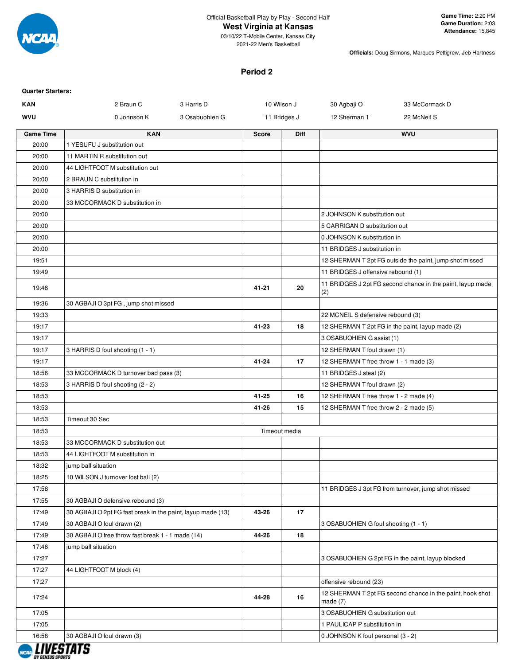

#### **West Virginia at Kansas**

03/10/22 T-Mobile Center, Kansas City 2021-22 Men's Basketball

**Officials:** Doug Sirmons, Marques Pettigrew, Jeb Hartness

#### **Period 2**

| <b>Quarter Starters:</b> |                                                             |                |              |               |                                        |                                                            |
|--------------------------|-------------------------------------------------------------|----------------|--------------|---------------|----------------------------------------|------------------------------------------------------------|
| <b>KAN</b>               | 2 Braun C                                                   | 3 Harris D     |              | 10 Wilson J   | 30 Agbaji O                            | 33 McCormack D                                             |
| WVU                      | 0 Johnson K                                                 | 3 Osabuohien G |              | 11 Bridges J  | 12 Sherman T                           | 22 McNeil S                                                |
| <b>Game Time</b>         | <b>KAN</b>                                                  |                | <b>Score</b> | <b>Diff</b>   |                                        | <b>WVU</b>                                                 |
| 20:00                    | 1 YESUFU J substitution out                                 |                |              |               |                                        |                                                            |
| 20:00                    | 11 MARTIN R substitution out                                |                |              |               |                                        |                                                            |
| 20:00                    | 44 LIGHTFOOT M substitution out                             |                |              |               |                                        |                                                            |
| 20:00                    | 2 BRAUN C substitution in                                   |                |              |               |                                        |                                                            |
| 20:00                    | 3 HARRIS D substitution in                                  |                |              |               |                                        |                                                            |
| 20:00                    | 33 MCCORMACK D substitution in                              |                |              |               |                                        |                                                            |
| 20:00                    |                                                             |                |              |               | 2 JOHNSON K substitution out           |                                                            |
| 20:00                    |                                                             |                |              |               | 5 CARRIGAN D substitution out          |                                                            |
| 20:00                    |                                                             |                |              |               | 0 JOHNSON K substitution in            |                                                            |
| 20:00                    |                                                             |                |              |               | 11 BRIDGES J substitution in           |                                                            |
| 19:51                    |                                                             |                |              |               |                                        | 12 SHERMAN T 2pt FG outside the paint, jump shot missed    |
| 19:49                    |                                                             |                |              |               | 11 BRIDGES J offensive rebound (1)     |                                                            |
| 19:48                    |                                                             |                | 41-21        | 20            | (2)                                    | 11 BRIDGES J 2pt FG second chance in the paint, layup made |
| 19:36                    | 30 AGBAJI O 3pt FG, jump shot missed                        |                |              |               |                                        |                                                            |
| 19:33                    |                                                             |                |              |               | 22 MCNEIL S defensive rebound (3)      |                                                            |
| 19:17                    |                                                             |                | 41-23        | 18            |                                        | 12 SHERMAN T 2pt FG in the paint, layup made (2)           |
| 19:17                    |                                                             |                |              |               | 3 OSABUOHIEN G assist (1)              |                                                            |
| 19:17                    | 3 HARRIS D foul shooting (1 - 1)                            |                |              |               | 12 SHERMAN T foul drawn (1)            |                                                            |
| 19:17                    |                                                             |                | $41 - 24$    | 17            | 12 SHERMAN T free throw 1 - 1 made (3) |                                                            |
| 18:56                    | 33 MCCORMACK D turnover bad pass (3)                        |                |              |               | 11 BRIDGES J steal (2)                 |                                                            |
| 18:53                    | 3 HARRIS D foul shooting (2 - 2)                            |                |              |               | 12 SHERMAN T foul drawn (2)            |                                                            |
| 18:53                    |                                                             |                | 41-25        | 16            | 12 SHERMAN T free throw 1 - 2 made (4) |                                                            |
| 18:53                    |                                                             |                | 41-26        | 15            | 12 SHERMAN T free throw 2 - 2 made (5) |                                                            |
| 18:53                    | Timeout 30 Sec                                              |                |              |               |                                        |                                                            |
| 18:53                    |                                                             |                |              | Timeout media |                                        |                                                            |
| 18:53                    | 33 MCCORMACK D substitution out                             |                |              |               |                                        |                                                            |
| 18:53                    | 44 LIGHTFOOT M substitution in                              |                |              |               |                                        |                                                            |
| 18:32                    | jump ball situation                                         |                |              |               |                                        |                                                            |
| 18:25                    | 10 WILSON J turnover lost ball (2)                          |                |              |               |                                        |                                                            |
| 17:58                    |                                                             |                |              |               |                                        | 11 BRIDGES J 3pt FG from turnover, jump shot missed        |
| 17:55                    | 30 AGBAJI O defensive rebound (3)                           |                |              |               |                                        |                                                            |
| 17:49                    | 30 AGBAJI O 2pt FG fast break in the paint, layup made (13) |                | 43-26        | 17            |                                        |                                                            |
| 17:49                    | 30 AGBAJI O foul drawn (2)                                  |                |              |               | 3 OSABUOHIEN G foul shooting (1 - 1)   |                                                            |
| 17:49                    | 30 AGBAJI O free throw fast break 1 - 1 made (14)           |                | 44-26        | 18            |                                        |                                                            |
| 17:46                    | jump ball situation                                         |                |              |               |                                        |                                                            |
| 17:27                    |                                                             |                |              |               |                                        | 3 OSABUOHIEN G 2pt FG in the paint, layup blocked          |
| 17:27                    | 44 LIGHTFOOT M block (4)                                    |                |              |               |                                        |                                                            |
| 17:27                    |                                                             |                |              |               | offensive rebound (23)                 |                                                            |
| 17:24                    |                                                             |                | 44-28        | 16            | made $(7)$                             | 12 SHERMAN T 2pt FG second chance in the paint, hook shot  |
| 17:05                    |                                                             |                |              |               | 3 OSABUOHIEN G substitution out        |                                                            |
| 17:05                    |                                                             |                |              |               | 1 PAULICAP P substitution in           |                                                            |
| 16:58                    | 30 AGBAJI O foul drawn (3)                                  |                |              |               | 0 JOHNSON K foul personal (3 - 2)      |                                                            |

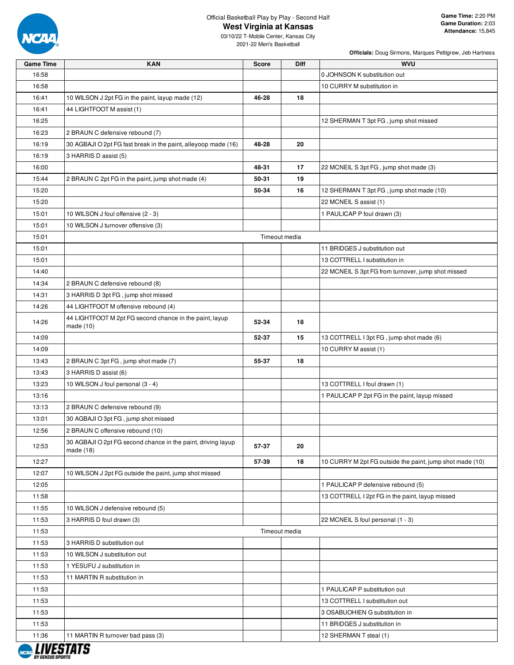

### **West Virginia at Kansas**

03/10/22 T-Mobile Center, Kansas City 2021-22 Men's Basketball

| <b>Game Time</b> | <b>KAN</b>                                                                | <b>Score</b> | <b>Diff</b>   | <b>WVU</b>                                               |
|------------------|---------------------------------------------------------------------------|--------------|---------------|----------------------------------------------------------|
| 16:58            |                                                                           |              |               | 0 JOHNSON K substitution out                             |
| 16:58            |                                                                           |              |               | 10 CURRY M substitution in                               |
| 16:41            | 10 WILSON J 2pt FG in the paint, layup made (12)                          | 46-28        | 18            |                                                          |
| 16:41            | 44 LIGHTFOOT M assist (1)                                                 |              |               |                                                          |
| 16:25            |                                                                           |              |               | 12 SHERMAN T 3pt FG, jump shot missed                    |
| 16:23            | 2 BRAUN C defensive rebound (7)                                           |              |               |                                                          |
| 16:19            | 30 AGBAJI O 2pt FG fast break in the paint, alleyoop made (16)            | 48-28        | 20            |                                                          |
| 16:19            | 3 HARRIS D assist (5)                                                     |              |               |                                                          |
| 16:00            |                                                                           | 48-31        | 17            | 22 MCNEIL S 3pt FG, jump shot made (3)                   |
| 15:44            | 2 BRAUN C 2pt FG in the paint, jump shot made (4)                         | 50-31        | 19            |                                                          |
| 15:20            |                                                                           | 50-34        | 16            | 12 SHERMAN T 3pt FG, jump shot made (10)                 |
| 15:20            |                                                                           |              |               | 22 MCNEIL S assist (1)                                   |
| 15:01            | 10 WILSON J foul offensive (2 - 3)                                        |              |               | 1 PAULICAP P foul drawn (3)                              |
| 15:01            | 10 WILSON J turnover offensive (3)                                        |              |               |                                                          |
| 15:01            |                                                                           |              | Timeout media |                                                          |
| 15:01            |                                                                           |              |               | 11 BRIDGES J substitution out                            |
| 15:01            |                                                                           |              |               | 13 COTTRELL I substitution in                            |
| 14:40            |                                                                           |              |               | 22 MCNEIL S 3pt FG from turnover, jump shot missed       |
| 14:34            | 2 BRAUN C defensive rebound (8)                                           |              |               |                                                          |
| 14:31            | 3 HARRIS D 3pt FG, jump shot missed                                       |              |               |                                                          |
| 14:26            | 44 LIGHTFOOT M offensive rebound (4)                                      |              |               |                                                          |
|                  | 44 LIGHTFOOT M 2pt FG second chance in the paint, layup                   |              |               |                                                          |
| 14:26            | made $(10)$                                                               | 52-34        | 18            |                                                          |
| 14:09            |                                                                           | 52-37        | 15            | 13 COTTRELL I 3pt FG, jump shot made (6)                 |
| 14:09            |                                                                           |              |               | 10 CURRY M assist (1)                                    |
| 13:43            | 2 BRAUN C 3pt FG, jump shot made (7)                                      | 55-37        | 18            |                                                          |
| 13:43            | 3 HARRIS D assist (6)                                                     |              |               |                                                          |
| 13:23            | 10 WILSON J foul personal (3 - 4)                                         |              |               | 13 COTTRELL I foul drawn (1)                             |
| 13:16            |                                                                           |              |               | 1 PAULICAP P 2pt FG in the paint, layup missed           |
| 13:13            | 2 BRAUN C defensive rebound (9)                                           |              |               |                                                          |
| 13:01            | 30 AGBAJI O 3pt FG, jump shot missed                                      |              |               |                                                          |
| 12:56            | 2 BRAUN C offensive rebound (10)                                          |              |               |                                                          |
| 12:53            | 30 AGBAJI O 2pt FG second chance in the paint, driving layup<br>made (18) | 57-37        | 20            |                                                          |
| 12:27            |                                                                           | 57-39        | 18            | 10 CURRY M 2pt FG outside the paint, jump shot made (10) |
| 12:07            | 10 WILSON J 2pt FG outside the paint, jump shot missed                    |              |               |                                                          |
| 12:05            |                                                                           |              |               | 1 PAULICAP P defensive rebound (5)                       |
| 11:58            |                                                                           |              |               | 13 COTTRELL I 2pt FG in the paint, layup missed          |
| 11:55            | 10 WILSON J defensive rebound (5)                                         |              |               |                                                          |
| 11:53            | 3 HARRIS D foul drawn (3)                                                 |              |               | 22 MCNEIL S foul personal (1 - 3)                        |
| 11:53            |                                                                           |              | Timeout media |                                                          |
| 11:53            | 3 HARRIS D substitution out                                               |              |               |                                                          |
| 11:53            | 10 WILSON J substitution out                                              |              |               |                                                          |
| 11:53            | 1 YESUFU J substitution in                                                |              |               |                                                          |
| 11:53            | 11 MARTIN R substitution in                                               |              |               |                                                          |
| 11:53            |                                                                           |              |               | 1 PAULICAP P substitution out                            |
| 11:53            |                                                                           |              |               | 13 COTTRELL I substitution out                           |
| 11:53            |                                                                           |              |               | 3 OSABUOHIEN G substitution in                           |
| 11:53            |                                                                           |              |               | 11 BRIDGES J substitution in                             |
| 11:36            | 11 MARTIN R turnover bad pass (3)                                         |              |               | 12 SHERMAN T steal (1)                                   |
|                  |                                                                           |              |               |                                                          |
|                  |                                                                           |              |               |                                                          |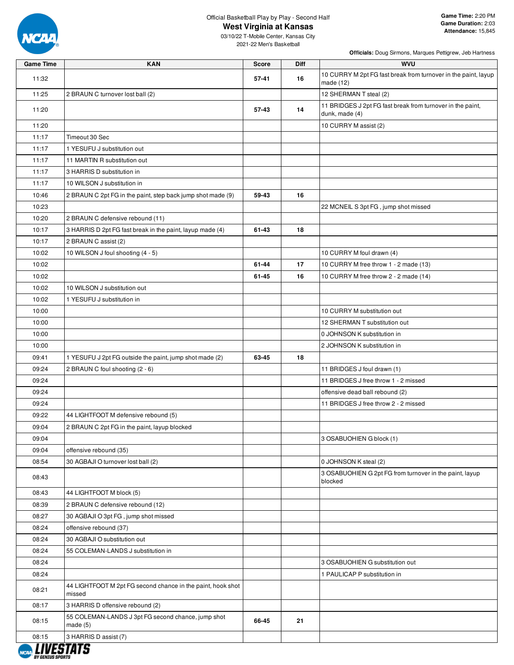

#### **West Virginia at Kansas**

03/10/22 T-Mobile Center, Kansas City 2021-22 Men's Basketball

| <b>Game Time</b> | <b>KAN</b>                                                            | <b>Score</b> | <b>Diff</b> | <b>WVU</b>                                                                   |
|------------------|-----------------------------------------------------------------------|--------------|-------------|------------------------------------------------------------------------------|
| 11:32            |                                                                       | 57-41        | 16          | 10 CURRY M 2pt FG fast break from turnover in the paint, layup<br>made (12)  |
| 11:25            | 2 BRAUN C turnover lost ball (2)                                      |              |             | 12 SHERMAN T steal (2)                                                       |
| 11:20            |                                                                       | $57 - 43$    | 14          | 11 BRIDGES J 2pt FG fast break from turnover in the paint,<br>dunk, made (4) |
| 11:20            |                                                                       |              |             | 10 CURRY M assist (2)                                                        |
| 11:17            | Timeout 30 Sec                                                        |              |             |                                                                              |
| 11:17            | 1 YESUFU J substitution out                                           |              |             |                                                                              |
| 11:17            | 11 MARTIN R substitution out                                          |              |             |                                                                              |
| 11:17            | 3 HARRIS D substitution in                                            |              |             |                                                                              |
| 11:17            | 10 WILSON J substitution in                                           |              |             |                                                                              |
| 10:46            | 2 BRAUN C 2pt FG in the paint, step back jump shot made (9)           | 59-43        | 16          |                                                                              |
| 10:23            |                                                                       |              |             | 22 MCNEIL S 3pt FG, jump shot missed                                         |
| 10:20            | 2 BRAUN C defensive rebound (11)                                      |              |             |                                                                              |
| 10:17            | 3 HARRIS D 2pt FG fast break in the paint, layup made (4)             | 61-43        | 18          |                                                                              |
| 10:17            | 2 BRAUN C assist (2)                                                  |              |             |                                                                              |
| 10:02            | 10 WILSON J foul shooting (4 - 5)                                     |              |             | 10 CURRY M foul drawn (4)                                                    |
| 10:02            |                                                                       | 61-44        | 17          | 10 CURRY M free throw 1 - 2 made (13)                                        |
| 10:02            |                                                                       | 61-45        | 16          | 10 CURRY M free throw 2 - 2 made (14)                                        |
| 10:02            | 10 WILSON J substitution out                                          |              |             |                                                                              |
| 10:02            | 1 YESUFU J substitution in                                            |              |             |                                                                              |
| 10:00            |                                                                       |              |             | 10 CURRY M substitution out                                                  |
| 10:00            |                                                                       |              |             | 12 SHERMAN T substitution out                                                |
| 10:00            |                                                                       |              |             | 0 JOHNSON K substitution in                                                  |
| 10:00            |                                                                       |              |             | 2 JOHNSON K substitution in                                                  |
| 09:41            | 1 YESUFU J 2pt FG outside the paint, jump shot made (2)               | 63-45        | 18          |                                                                              |
| 09:24            | 2 BRAUN C foul shooting (2 - 6)                                       |              |             | 11 BRIDGES J foul drawn (1)                                                  |
| 09:24            |                                                                       |              |             | 11 BRIDGES J free throw 1 - 2 missed                                         |
| 09:24            |                                                                       |              |             | offensive dead ball rebound (2)                                              |
| 09:24            |                                                                       |              |             | 11 BRIDGES J free throw 2 - 2 missed                                         |
| 09:22            | 44 LIGHTFOOT M defensive rebound (5)                                  |              |             |                                                                              |
| 09:04            | 2 BRAUN C 2pt FG in the paint, layup blocked                          |              |             |                                                                              |
| 09:04            |                                                                       |              |             | 3 OSABUOHIEN G block (1)                                                     |
| 09:04            | offensive rebound (35)                                                |              |             |                                                                              |
| 08:54            | 30 AGBAJI O turnover lost ball (2)                                    |              |             | 0 JOHNSON K steal (2)                                                        |
| 08:43            |                                                                       |              |             | 3 OSABUOHIEN G 2pt FG from turnover in the paint, layup<br>blocked           |
| 08:43            | 44 LIGHTFOOT M block (5)                                              |              |             |                                                                              |
| 08:39            | 2 BRAUN C defensive rebound (12)                                      |              |             |                                                                              |
| 08:27            | 30 AGBAJI O 3pt FG, jump shot missed                                  |              |             |                                                                              |
| 08:24            | offensive rebound (37)                                                |              |             |                                                                              |
| 08:24            | 30 AGBAJI O substitution out                                          |              |             |                                                                              |
| 08:24            | 55 COLEMAN-LANDS J substitution in                                    |              |             |                                                                              |
| 08:24            |                                                                       |              |             | 3 OSABUOHIEN G substitution out                                              |
| 08:24            |                                                                       |              |             | 1 PAULICAP P substitution in                                                 |
| 08:21            | 44 LIGHTFOOT M 2pt FG second chance in the paint, hook shot<br>missed |              |             |                                                                              |
| 08:17            | 3 HARRIS D offensive rebound (2)                                      |              |             |                                                                              |
| 08:15            | 55 COLEMAN-LANDS J 3pt FG second chance, jump shot<br>made $(5)$      | 66-45        | 21          |                                                                              |
| 08:15            | 3 HARRIS D assist (7)                                                 |              |             |                                                                              |

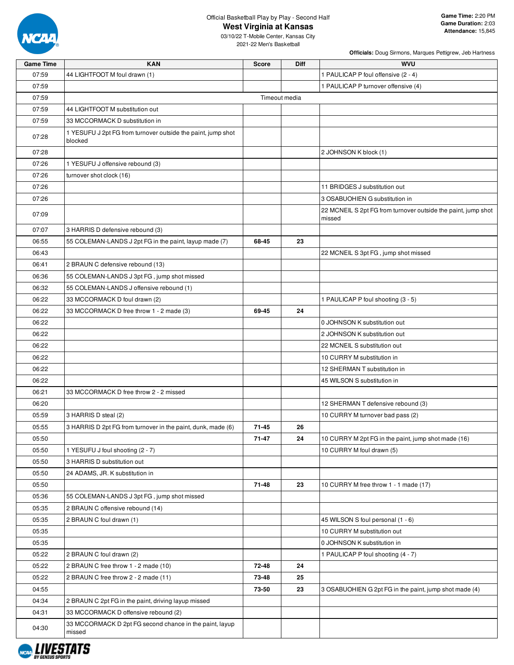

**West Virginia at Kansas**

03/10/22 T-Mobile Center, Kansas City 2021-22 Men's Basketball

| <b>Game Time</b> | <b>KAN</b>                                                              | Score         | <b>Diff</b> | <b>WVU</b>                                                              |
|------------------|-------------------------------------------------------------------------|---------------|-------------|-------------------------------------------------------------------------|
| 07:59            | 44 LIGHTFOOT M foul drawn (1)                                           |               |             | 1 PAULICAP P foul offensive (2 - 4)                                     |
| 07:59            |                                                                         |               |             | 1 PAULICAP P turnover offensive (4)                                     |
| 07:59            |                                                                         | Timeout media |             |                                                                         |
| 07:59            | 44 LIGHTFOOT M substitution out                                         |               |             |                                                                         |
| 07:59            | 33 MCCORMACK D substitution in                                          |               |             |                                                                         |
| 07:28            | 1 YESUFU J 2pt FG from turnover outside the paint, jump shot<br>blocked |               |             |                                                                         |
| 07:28            |                                                                         |               |             | 2 JOHNSON K block (1)                                                   |
| 07:26            | 1 YESUFU J offensive rebound (3)                                        |               |             |                                                                         |
| 07:26            | turnover shot clock (16)                                                |               |             |                                                                         |
| 07:26            |                                                                         |               |             | 11 BRIDGES J substitution out                                           |
| 07:26            |                                                                         |               |             | 3 OSABUOHIEN G substitution in                                          |
| 07:09            |                                                                         |               |             | 22 MCNEIL S 2pt FG from turnover outside the paint, jump shot<br>missed |
| 07:07            | 3 HARRIS D defensive rebound (3)                                        |               |             |                                                                         |
| 06:55            | 55 COLEMAN-LANDS J 2pt FG in the paint, layup made (7)                  | 68-45         | 23          |                                                                         |
| 06:43            |                                                                         |               |             | 22 MCNEIL S 3pt FG, jump shot missed                                    |
| 06:41            | 2 BRAUN C defensive rebound (13)                                        |               |             |                                                                         |
| 06:36            | 55 COLEMAN-LANDS J 3pt FG, jump shot missed                             |               |             |                                                                         |
| 06:32            | 55 COLEMAN-LANDS J offensive rebound (1)                                |               |             |                                                                         |
| 06:22            | 33 MCCORMACK D foul drawn (2)                                           |               |             | 1 PAULICAP P foul shooting (3 - 5)                                      |
| 06:22            | 33 MCCORMACK D free throw 1 - 2 made (3)                                | 69-45         | 24          |                                                                         |
| 06:22            |                                                                         |               |             | 0 JOHNSON K substitution out                                            |
| 06:22            |                                                                         |               |             | 2 JOHNSON K substitution out                                            |
| 06:22            |                                                                         |               |             | 22 MCNEIL S substitution out                                            |
| 06:22            |                                                                         |               |             | 10 CURRY M substitution in                                              |
| 06:22            |                                                                         |               |             | 12 SHERMAN T substitution in                                            |
| 06:22            |                                                                         |               |             | 45 WILSON S substitution in                                             |
| 06:21            | 33 MCCORMACK D free throw 2 - 2 missed                                  |               |             |                                                                         |
| 06:20            |                                                                         |               |             | 12 SHERMAN T defensive rebound (3)                                      |
| 05:59            | 3 HARRIS D steal (2)                                                    |               |             | 10 CURRY M turnover bad pass (2)                                        |
| 05:55            | 3 HARRIS D 2pt FG from turnover in the paint, dunk, made (6)            | 71-45         | 26          |                                                                         |
| 05:50            |                                                                         | 71-47         | 24          | 10 CURRY M 2pt FG in the paint, jump shot made (16)                     |
| 05:50            | 1 YESUFU J foul shooting (2 - 7)                                        |               |             | 10 CURRY M foul drawn (5)                                               |
| 05:50            | 3 HARRIS D substitution out                                             |               |             |                                                                         |
| 05:50            | 24 ADAMS, JR. K substitution in                                         |               |             |                                                                         |
| 05:50            |                                                                         | 71-48         | 23          | 10 CURRY M free throw 1 - 1 made (17)                                   |
| 05:36            | 55 COLEMAN-LANDS J 3pt FG, jump shot missed                             |               |             |                                                                         |
| 05:35            | 2 BRAUN C offensive rebound (14)                                        |               |             |                                                                         |
| 05:35            | 2 BRAUN C foul drawn (1)                                                |               |             | 45 WILSON S foul personal (1 - 6)                                       |
| 05:35            |                                                                         |               |             | 10 CURRY M substitution out                                             |
| 05:35            |                                                                         |               |             | 0 JOHNSON K substitution in                                             |
| 05:22            | 2 BRAUN C foul drawn (2)                                                |               |             | 1 PAULICAP P foul shooting (4 - 7)                                      |
| 05:22            | 2 BRAUN C free throw 1 - 2 made (10)                                    | 72-48         | 24          |                                                                         |
| 05:22            | 2 BRAUN C free throw 2 - 2 made (11)                                    | 73-48         | 25          |                                                                         |
| 04:55            |                                                                         | 73-50         | 23          | 3 OSABUOHIEN G 2pt FG in the paint, jump shot made (4)                  |
| 04:34            | 2 BRAUN C 2pt FG in the paint, driving layup missed                     |               |             |                                                                         |
| 04:31            | 33 MCCORMACK D offensive rebound (2)                                    |               |             |                                                                         |
|                  | 33 MCCORMACK D 2pt FG second chance in the paint, layup                 |               |             |                                                                         |
| 04:30            | missed                                                                  |               |             |                                                                         |

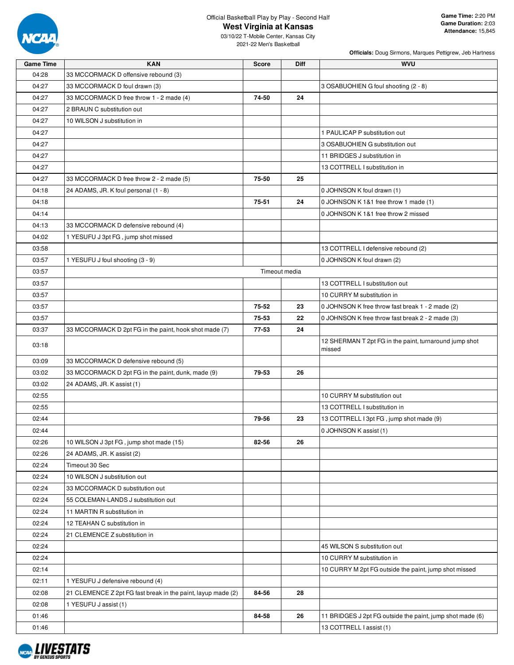

### **West Virginia at Kansas**

03/10/22 T-Mobile Center, Kansas City 2021-22 Men's Basketball

| <b>Game Time</b> | <b>KAN</b>                                                   | <b>Score</b>  | Diff | <b>WVU</b>                                                |
|------------------|--------------------------------------------------------------|---------------|------|-----------------------------------------------------------|
| 04:28            | 33 MCCORMACK D offensive rebound (3)                         |               |      |                                                           |
| 04:27            | 33 MCCORMACK D foul drawn (3)                                |               |      | 3 OSABUOHIEN G foul shooting (2 - 8)                      |
| 04:27            | 33 MCCORMACK D free throw 1 - 2 made (4)                     | 74-50         | 24   |                                                           |
| 04:27            | 2 BRAUN C substitution out                                   |               |      |                                                           |
| 04:27            | 10 WILSON J substitution in                                  |               |      |                                                           |
| 04:27            |                                                              |               |      | 1 PAULICAP P substitution out                             |
| 04:27            |                                                              |               |      | 3 OSABUOHIEN G substitution out                           |
| 04:27            |                                                              |               |      | 11 BRIDGES J substitution in                              |
| 04:27            |                                                              |               |      | 13 COTTRELL I substitution in                             |
| 04:27            | 33 MCCORMACK D free throw 2 - 2 made (5)                     | 75-50         | 25   |                                                           |
| 04:18            | 24 ADAMS, JR. K foul personal (1 - 8)                        |               |      | 0 JOHNSON K foul drawn (1)                                |
| 04:18            |                                                              | 75-51         | 24   | 0 JOHNSON K 1&1 free throw 1 made (1)                     |
| 04:14            |                                                              |               |      | 0 JOHNSON K 1&1 free throw 2 missed                       |
| 04:13            | 33 MCCORMACK D defensive rebound (4)                         |               |      |                                                           |
| 04:02            | 1 YESUFU J 3pt FG, jump shot missed                          |               |      |                                                           |
| 03:58            |                                                              |               |      | 13 COTTRELL I defensive rebound (2)                       |
| 03:57            | 1 YESUFU J foul shooting (3 - 9)                             |               |      | 0 JOHNSON K foul drawn (2)                                |
| 03:57            |                                                              | Timeout media |      |                                                           |
| 03:57            |                                                              |               |      | 13 COTTRELL I substitution out                            |
| 03:57            |                                                              |               |      | 10 CURRY M substitution in                                |
| 03:57            |                                                              | 75-52         | 23   | 0 JOHNSON K free throw fast break 1 - 2 made (2)          |
| 03:57            |                                                              | 75-53         | 22   | 0 JOHNSON K free throw fast break 2 - 2 made (3)          |
| 03:37            | 33 MCCORMACK D 2pt FG in the paint, hook shot made (7)       | 77-53         | 24   |                                                           |
|                  |                                                              |               |      | 12 SHERMAN T 2pt FG in the paint, turnaround jump shot    |
| 03:18            |                                                              |               |      | missed                                                    |
| 03:09            | 33 MCCORMACK D defensive rebound (5)                         |               |      |                                                           |
| 03:02            | 33 MCCORMACK D 2pt FG in the paint, dunk, made (9)           | 79-53         | 26   |                                                           |
| 03:02            | 24 ADAMS, JR. K assist (1)                                   |               |      |                                                           |
| 02:55            |                                                              |               |      | 10 CURRY M substitution out                               |
| 02:55            |                                                              |               |      | 13 COTTRELL I substitution in                             |
| 02:44            |                                                              | 79-56         | 23   | 13 COTTRELL I 3pt FG, jump shot made (9)                  |
| 02:44            |                                                              |               |      | 0 JOHNSON K assist (1)                                    |
| 02:26            | 10 WILSON J 3pt FG, jump shot made (15)                      | 82-56         | 26   |                                                           |
| 02:26            | 24 ADAMS, JR. K assist (2)                                   |               |      |                                                           |
| 02:24            | Timeout 30 Sec                                               |               |      |                                                           |
| 02:24            | 10 WILSON J substitution out                                 |               |      |                                                           |
| 02:24            | 33 MCCORMACK D substitution out                              |               |      |                                                           |
| 02:24            | 55 COLEMAN-LANDS J substitution out                          |               |      |                                                           |
| 02:24            | 11 MARTIN R substitution in                                  |               |      |                                                           |
| 02:24            | 12 TEAHAN C substitution in                                  |               |      |                                                           |
| 02:24            | 21 CLEMENCE Z substitution in                                |               |      |                                                           |
| 02:24            |                                                              |               |      | 45 WILSON S substitution out                              |
| 02:24            |                                                              |               |      | 10 CURRY M substitution in                                |
| 02:14            |                                                              |               |      | 10 CURRY M 2pt FG outside the paint, jump shot missed     |
| 02:11            | 1 YESUFU J defensive rebound (4)                             |               |      |                                                           |
| 02:08            | 21 CLEMENCE Z 2pt FG fast break in the paint, layup made (2) | 84-56         | 28   |                                                           |
| 02:08            | 1 YESUFU J assist (1)                                        |               |      |                                                           |
| 01:46            |                                                              | 84-58         | 26   | 11 BRIDGES J 2pt FG outside the paint, jump shot made (6) |
| 01:46            |                                                              |               |      | 13 COTTRELL I assist (1)                                  |

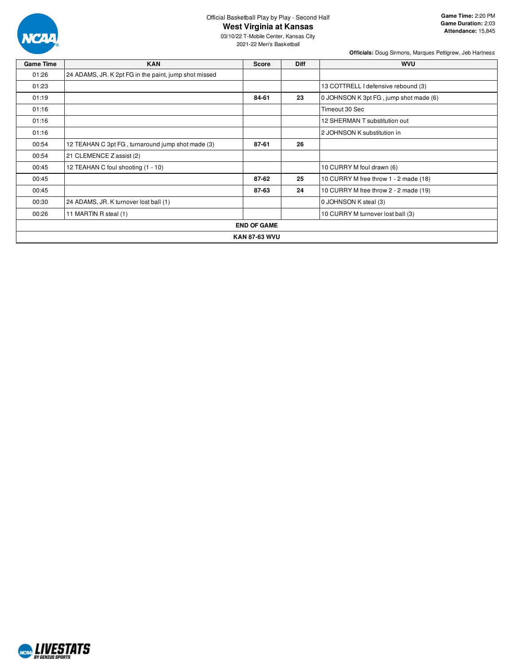

#### **West Virginia at Kansas**

03/10/22 T-Mobile Center, Kansas City 2021-22 Men's Basketball

**Game Time:** 2:20 PM **Game Duration:** 2:03 **Attendance:** 15,845

| <b>Game Time</b> | <b>KAN</b>                                            | Score                | <b>Diff</b> | <b>WVU</b>                             |
|------------------|-------------------------------------------------------|----------------------|-------------|----------------------------------------|
| 01:26            | 24 ADAMS, JR. K 2pt FG in the paint, jump shot missed |                      |             |                                        |
| 01:23            |                                                       |                      |             | 13 COTTRELL I defensive rebound (3)    |
| 01:19            |                                                       | 84-61                | 23          | 0 JOHNSON K 3pt FG, jump shot made (6) |
| 01:16            |                                                       |                      |             | Timeout 30 Sec                         |
| 01:16            |                                                       |                      |             | 12 SHERMAN T substitution out          |
| 01:16            |                                                       |                      |             | 2 JOHNSON K substitution in            |
| 00:54            | 12 TEAHAN C 3pt FG, turnaround jump shot made (3)     | 87-61                | 26          |                                        |
| 00:54            | 21 CLEMENCE Z assist (2)                              |                      |             |                                        |
| 00:45            | 12 TEAHAN C foul shooting (1 - 10)                    |                      |             | 10 CURRY M foul drawn (6)              |
| 00:45            |                                                       | 87-62                | 25          | 10 CURRY M free throw 1 - 2 made (18)  |
| 00:45            |                                                       | 87-63                | 24          | 10 CURRY M free throw 2 - 2 made (19)  |
| 00:30            | 24 ADAMS, JR. K turnover lost ball (1)                |                      |             | 0 JOHNSON K steal (3)                  |
| 00:26            | 11 MARTIN R steal (1)                                 |                      |             | 10 CURRY M turnover lost ball (3)      |
|                  |                                                       | <b>END OF GAME</b>   |             |                                        |
|                  |                                                       | <b>KAN 87-63 WVU</b> |             |                                        |

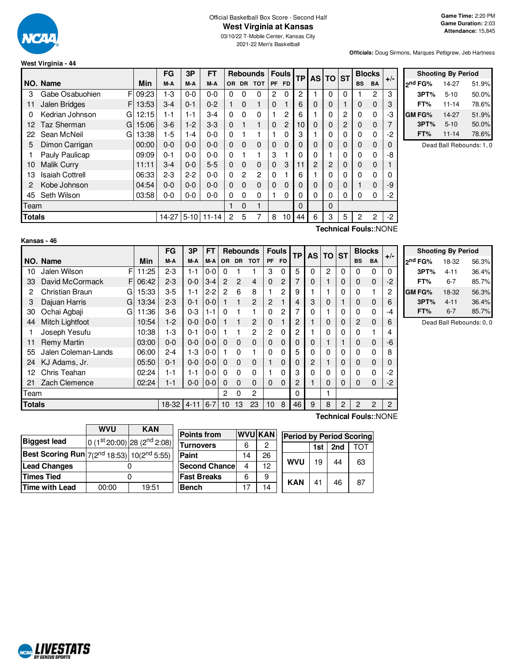

**Officials:** Doug Sirmons, Marques Pettigrew, Jeb Hartness

**Shooting By Period 2 nd FG%** 14-27 51.9% **3PT%** 5-10 50.0% **FT%** 11-14 78.6% **GM FG%** 14-27 51.9% **3PT%** 5-10 50.0% **FT%** 11-14 78.6% Dead Ball Rebounds: 1, 0

#### **West Virginia - 44**

|               |                        |       | <b>FG</b> | 3P      | FT               |           |             | <b>Rebounds</b> |          | <b>Fouls</b> | <b>TP</b> | <b>AS</b> | TO.      | <b>ST</b> |             | <b>Blocks</b> |            |
|---------------|------------------------|-------|-----------|---------|------------------|-----------|-------------|-----------------|----------|--------------|-----------|-----------|----------|-----------|-------------|---------------|------------|
|               | NO. Name               | Min   | M-A       | M-A     | M-A              | <b>OR</b> | <b>DR</b>   | <b>TOT</b>      | PF       | <b>FD</b>    |           |           |          |           | <b>BS</b>   | <b>BA</b>     | $+/-$      |
| 3             | F<br>Gabe Osabuohien   | 09:23 | $1-3$     | $0-0$   | $0 - 0$          | 0         | 0           | 0               | 2        | 0            | 2         |           | 0        | 0         |             | 2             | 3          |
| 11            | Jalen Bridges<br>F     | 13:53 | $3-4$     | $0 - 1$ | $0 - 2$          | 1         | $\Omega$    | 1               | 0        |              | 6         | 0         | 0        |           | 0           | $\Omega$      | 3          |
| 0             | Kedrian Johnson<br>G   | 12:15 | $1 - 1$   | 1-1     | $3-4$            | 0         | $\Omega$    | $\Omega$        |          | $\mathbf{2}$ | 6         |           | 0        | 2         | $\Omega$    | $\Omega$      | -3         |
| 12            | Taz Sherman<br>G       | 15:06 | $3-6$     | $1-2$   | $3-3$            | $\Omega$  |             | 1               | $\Omega$ | 2            | 10        | $\Omega$  | 0        | 2         | $\mathbf 0$ | $\Omega$      | 7          |
| 22            | Sean McNeil<br>G       | 13:38 | $1-5$     | 1-4     | $0 - 0$          | $\Omega$  |             |                 |          | 0            | 3         |           | 0        | 0         | 0           | $\mathbf 0$   | -2         |
| 5             | Dimon Carrigan         | 00:00 | $0 - 0$   | $0 - 0$ | $0 - 0$          | $\Omega$  | $\mathbf 0$ | $\Omega$        | 0        | $\Omega$     | $\Omega$  | $\Omega$  | 0        | 0         | 0           | $\Omega$      | 0          |
|               | Pauly Paulicap         | 09:09 | $0 - 1$   | $0 - 0$ | $0 - 0$          | $\Omega$  |             |                 | 3        |              | 0         | $\Omega$  |          | 0         | $\Omega$    | $\Omega$      | -8         |
| 10            | <b>Malik Curry</b>     | 11:11 | $3-4$     | $0 - 0$ | $5 - 5$          | $\Omega$  | $\Omega$    | $\Omega$        | 0        | 3            | 11        | 2         | 2        | $\Omega$  | $\Omega$    | $\Omega$      |            |
| 13            | <b>Isaiah Cottrell</b> | 06:33 | $2 - 3$   | $2 - 2$ | $0 - 0$          | $\Omega$  | 2           | 2               | 0        |              | 6         |           | 0        | 0         | $\Omega$    | $\mathbf 0$   | 0          |
| 2             | Kobe Johnson           | 04:54 | $0 - 0$   | $0 - 0$ | $0 - 0$          | 0         | $\mathbf 0$ | 0               | $\Omega$ | $\Omega$     | $\Omega$  | 0         | 0        | 0         |             | $\Omega$      | -9         |
| 45            | Seth Wilson            | 03:58 | $0-0$     | $0-0$   | $0 - 0$          | $\Omega$  | 0           | $\Omega$        |          | 0            | 0         | $\Omega$  | 0        | 0         | $\Omega$    | $\Omega$      | $-2$       |
| Team          |                        |       |           |         |                  |           | $\Omega$    | 1               |          |              | $\Omega$  |           | $\Omega$ |           |             |               |            |
| <b>Totals</b> |                        |       |           |         | 14-27 5-10 11-14 | 2         | 5           |                 | 8        | 10           | 44        | 6         | 3        | 5         | 2           | 2             | $-2$       |
|               |                        |       |           |         |                  |           |             |                 |          |              |           |           |          |           | .           |               | $\sqrt{2}$ |

#### **Kansas - 46**

**Technical Fouls:**:NONE

|               |                       |       | FG         | 3P      | <b>FT</b> |                |          | <b>Rebounds</b> |                 | <b>Fouls</b> | <b>TP</b> | AS             | TO.      | <b>ST</b> |                | <b>Blocks</b>         |       |  |
|---------------|-----------------------|-------|------------|---------|-----------|----------------|----------|-----------------|-----------------|--------------|-----------|----------------|----------|-----------|----------------|-----------------------|-------|--|
|               | NO. Name              | Min   | M-A        | M-A     | M-A       | OR.            |          | DR TOT          | PF              | <b>FD</b>    |           |                |          |           | <b>BS</b>      | <b>BA</b>             | $+/-$ |  |
| 10            | F<br>Jalen Wilson     | 11:25 | $2 - 3$    | 1-1     | $0 - 0$   | 0              |          |                 | 3               | 0            | 5         | 0              | 2        | 0         | 0              | 0                     | 0     |  |
| 33            | David McCormack<br>F  | 06:42 | $2 - 3$    | $0 - 0$ | $3 - 4$   | $\overline{2}$ | 2        | 4               | $\Omega$        | 2            |           | 0              |          | 0         | 0              | $\mathbf 0$           | $-2$  |  |
| 2             | Christian Braun<br>GI | 15:33 | $3-5$      | 1-1     | $2 - 2$   | 2              | 6        | 8               |                 | 2            | 9         |                |          | 0         | 0              |                       | 2     |  |
| 3             | Dajuan Harris<br>GI   | 13:34 | $2 - 3$    | $0 - 1$ | $0-0$     |                |          | $\overline{c}$  | 2               |              | 4         | 3              | 0        |           | $\mathbf 0$    | 0                     | 6     |  |
| 30            | Ochai Agbaji<br>GI    | 11:36 | $3-6$      | $0 - 3$ | $1 - 1$   | $\Omega$       |          |                 | 0               | 2            |           | 0              |          | 0         | 0              | 0                     | $-4$  |  |
| 44            | Mitch Lightfoot       | 10:54 | $1 - 2$    | $0 - 0$ | $0 - 0$   | 1              |          | 2               | 0               |              | 2         |                | $\Omega$ | 0         | 2              | 0                     | 6     |  |
|               | Joseph Yesufu         | 10:38 | $1 - 3$    | $0 - 1$ | $0 - 0$   |                |          | 2               | 2               | $\Omega$     | 2         |                | 0        | 0         | 0              |                       | 4     |  |
| 11            | <b>Remy Martin</b>    | 03:00 | $0-0$      | $0 - 0$ | $0-0$     | $\Omega$       | 0        | 0               | $\mathbf 0$     | 0            | 0         | 0              |          |           | 0              | 0                     | -6    |  |
| 55            | Jalen Coleman-Lands   | 06:00 | $2 - 4$    | 1-3     | $0-0$     |                | 0        |                 | 0               | $\Omega$     | 5         | 0              | 0        | 0         | 0              | 0                     | 8     |  |
| 24            | KJ Adams, Jr.         | 05:50 | $0 - 1$    | $0 - 0$ | $0 - 0$   | $\Omega$       | $\Omega$ | 0               | 1               | $\Omega$     | 0         | $\overline{c}$ |          | 0         | $\Omega$       | 0                     | 0     |  |
| 12            | Chris Teahan          | 02:24 | $1 - 1$    | 1-1     | $0 - 0$   | $\Omega$       | 0        | 0               |                 | 0            | 3         | 0              | $\Omega$ | 0         | 0              | 0                     | -2    |  |
| 21            | Zach Clemence         | 02:24 | $1 - 1$    | $0 - 0$ | $0 - 0$   | 0              | 0        | 0               | $\Omega$        | 0            | 2         |                | $\Omega$ | 0         | 0              | 0                     | $-2$  |  |
| Team          |                       |       |            |         |           | 2              | 0        | 2               |                 |              | $\Omega$  |                |          |           |                |                       |       |  |
| <b>Totals</b> |                       |       | 18-32 4-11 |         | $6 - 7$   | 10             | 13       | 23              | 10 <sup>1</sup> | 8            | 46        | 9              | 8        | 2         | $\mathfrak{p}$ | 2                     | 2     |  |
|               |                       |       |            |         |           |                |          |                 |                 |              |           |                |          |           |                | Technical Fouls::NONE |       |  |

|                     | <b>Shooting By Period</b> |       |
|---------------------|---------------------------|-------|
| 2 <sup>nd</sup> FG% | 18-32                     | 56.3% |
| 3PT%                | $4 - 11$                  | 36.4% |
| FT%                 | 6-7                       | 85.7% |
| <b>GM FG%</b>       | 18-32                     | 56.3% |
| 3PT%                | $4 - 11$                  | 36.4% |
| FT%                 | $6 - 7$                   | 85.7% |
|                     |                           |       |

Dead Ball Rebounds: 0, 0

|                                                             | <b>WVU</b> | <b>KAN</b>                              |
|-------------------------------------------------------------|------------|-----------------------------------------|
| <b>Biggest lead</b>                                         |            | 0 (1st 20:00) 28 (2 <sup>nd</sup> 2:08) |
| Best Scoring Run $7(2^{nd} 18:53)$ 10(2 <sup>nd</sup> 5:55) |            |                                         |
| <b>Lead Changes</b>                                         |            |                                         |
| <b>Times Tied</b>                                           |            |                                         |
| Time with Lead                                              | 00:00      | 19:51                                   |

**NCAL LIVESTATS** 

| <b>Points from</b> | <b>WVU KAN</b> |    | <b>Period by Period Scoring</b> |     |                 |     |
|--------------------|----------------|----|---------------------------------|-----|-----------------|-----|
| Turnovers          |                |    |                                 | 1st | 2 <sub>nd</sub> | гот |
| Paint              | 14             | 26 |                                 |     |                 |     |
| Second Chancel     | 4              | 12 | <b>WVU</b>                      | 19  | 44              | 63  |
| <b>Fast Breaks</b> | 6              | 9  | <b>KAN</b>                      |     |                 | 87  |
| Bench              | 17             | 14 |                                 | 41  | 46              |     |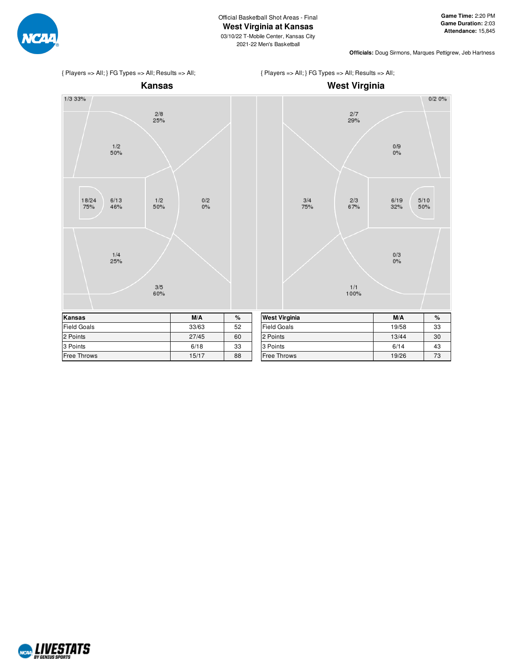

{ Players => All; } FG Types => All; Results => All;





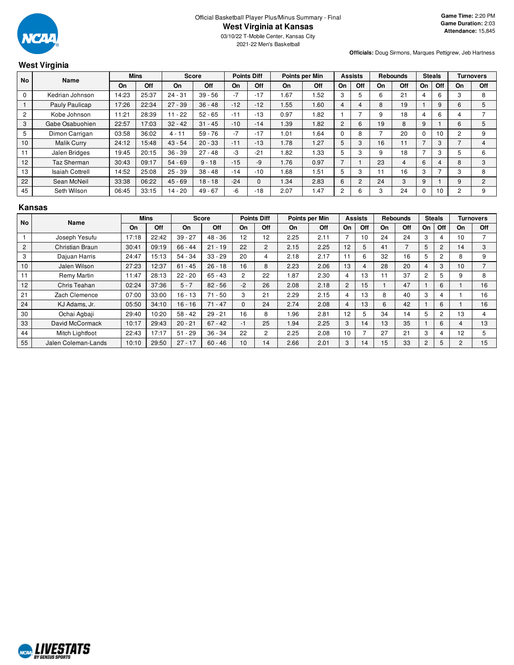

2021-22 Men's Basketball

# **West Virginia**

**Officials:** Doug Sirmons, Marques Pettigrew, Jeb Hartness

| No             | Name                   |       | <b>Mins</b> |           | <b>Score</b> |       | <b>Points Diff</b> |      | Points per Min |                | <b>Assists</b> |    | <b>Rebounds</b> |                          | <b>Steals</b>   |                | Turnovers      |
|----------------|------------------------|-------|-------------|-----------|--------------|-------|--------------------|------|----------------|----------------|----------------|----|-----------------|--------------------------|-----------------|----------------|----------------|
|                |                        | On    | Off         | On        | <b>Off</b>   | On    | Off                | On   | Off            | On             | <b>Off</b>     | On | Off             | On                       | Off             | On             | Off            |
| $\mathbf 0$    | Kedrian Johnson        | 14:23 | 25:37       | $24 - 31$ | $39 - 56$    | $-7$  | $-17$              | .67  | 1.52           | 3              | 5              | 6  | 21              | 4                        | 6               | 3              | 8              |
|                | Pauly Paulicap         | 17:26 | 22:34       | $27 - 39$ | $36 - 48$    | $-12$ | $-12$              | 1.55 | 1.60           | 4              | 4              | 8  | 19              |                          | 9               | 6              | 5              |
| $\overline{2}$ | Kobe Johnson           | 11:21 | 28:39       | 11 - 22   | $52 - 65$    | $-11$ | $-13$              | 0.97 | 1.82           |                |                | 9  | 18              | 4                        | 6               |                |                |
| 3              | Gabe Osabuohien        | 22:57 | 17:03       | $32 - 42$ | $31 - 45$    | $-10$ | $-14$              | 1.39 | 1.82           | 2              | 6              | 19 | 8               | 9                        |                 | 6              | 5              |
| 5              | Dimon Carrigan         | 03:58 | 36:02       | $4 - 11$  | $59 - 76$    | $-7$  | $-17$              | 1.01 | .64            | $\Omega$       | 8              |    | 20              | $\Omega$                 | 10 <sup>1</sup> | $\overline{2}$ | 9              |
| 10             | <b>Malik Curry</b>     | 24:12 | 15:48       | $43 - 54$ | $20 - 33$    | $-11$ | $-13$              | 1.78 | 1.27           | 5              | 3              | 16 | 11              |                          | 3               | ⇁              | 4              |
| 11             | Jalen Bridges          | 19:45 | 20:15       | $36 - 39$ | $27 - 48$    | -3    | $-21$              | .82  | 1.33           | 5              | 3              | 9  | 18              | $\overline{\phantom{0}}$ | 3               | 5              | 6              |
| 12             | Taz Sherman            | 30:43 | 09:17       | $54 - 69$ | $9 - 18$     | $-15$ | -9                 | 1.76 | 0.97           | $\overline{ }$ |                | 23 | 4               | 6                        | 4               | 8              | 3              |
| 13             | <b>Isaiah Cottrell</b> | 14:52 | 25:08       | $25 - 39$ | $38 - 48$    | $-14$ | $-10$              | .68  | 1.51           | 5              | 3              |    | 16              | 3                        |                 | 3              | 8              |
| 22             | Sean McNeil            | 33:38 | 06:22       | $45 - 69$ | $18 - 18$    | $-24$ | $\Omega$           | 1.34 | 2.83           | 6              | 2              | 24 | 3               | 9                        |                 | 9              | $\overline{2}$ |
| 45             | Seth Wilson            | 06:45 | 33:15       | 14 - 20   | $49 - 67$    | $-6$  | $-18$              | 2.07 | 1.47           | $\overline{c}$ | 6              | 3  | 24              | 0                        | 10              | 2              | 9              |

#### **Kansas**

| <b>No</b>      | Name                |       | <b>Mins</b> |           | <b>Score</b> |                | <b>Points Diff</b> |      | Points per Min |                | <b>Assists</b> |    | <b>Rebounds</b> |                | <b>Steals</b>  |                | <b>Turnovers</b>         |
|----------------|---------------------|-------|-------------|-----------|--------------|----------------|--------------------|------|----------------|----------------|----------------|----|-----------------|----------------|----------------|----------------|--------------------------|
|                |                     | On    | Off         | On        | Off          | On             | Off                | On   | Off            | On             | Off            | On | Off             | On             | Off            | On             | Off                      |
|                | Joseph Yesufu       | 17:18 | 22:42       | $39 - 27$ | $48 - 36$    | 12             | 12                 | 2.25 | 2.11           |                | 10             | 24 | 24              | 3              | 4              | 10             | $\overline{\phantom{0}}$ |
| $\overline{c}$ | Christian Braun     | 30:41 | 09:19       | $66 - 44$ | $21 - 19$    | 22             | $\overline{2}$     | 2.15 | 2.25           | 12             | 5              | 41 |                 | 5              | $\overline{c}$ | 14             | 3                        |
| 3              | Dajuan Harris       | 24:47 | 15:13       | $54 - 34$ | $33 - 29$    | 20             | 4                  | 2.18 | 2.17           | 11             | 6              | 32 | 16              | 5              | $\overline{c}$ | 8              | 9                        |
| 10             | Jalen Wilson        | 27:23 | 12:37       | $61 - 45$ | $26 - 18$    | 16             | 8                  | 2.23 | 2.06           | 13             | 4              | 28 | 20              |                | 3              | 10             | $\overline{\phantom{0}}$ |
| 11             | Remy Martin         | 11:47 | 28:13       | $22 - 20$ | $65 - 43$    | $\overline{2}$ | 22                 | .87  | 2.30           | 4              | 13             | 11 | 37              | $\overline{2}$ | 5              | 9              | 8                        |
| 12             | Chris Teahan        | 02:24 | 37:36       | $5 - 7$   | $82 - 56$    | $-2$           | 26                 | 2.08 | 2.18           | $\overline{2}$ | 15             |    | 47              |                | 6              |                | 16                       |
| 21             | Zach Clemence       | 07:00 | 33:00       | $16 - 13$ | $71 - 50$    | 3              | 21                 | 2.29 | 2.15           | 4              | 13             | 8  | 40              | 3              | 4              |                | 16                       |
| 24             | KJ Adams, Jr.       | 05:50 | 34:10       | $16 - 16$ | $71 - 47$    | $\Omega$       | 24                 | 2.74 | 2.08           | 4              | 13             | 6  | 42              |                | 6              |                | 16                       |
| 30             | Ochai Agbaji        | 29:40 | 10:20       | $58 - 42$ | $29 - 21$    | 16             | 8                  | .96  | 2.81           | 12             | 5              | 34 | 14              | 5              | 2              | 13             | 4                        |
| 33             | David McCormack     | 10:17 | 29:43       | $20 - 21$ | $67 - 42$    | $-1$           | 25                 | .94  | 2.25           | 3              | 14             | 13 | 35              |                | 6              | 4              | 13                       |
| 44             | Mitch Lightfoot     | 22:43 | 17:17       | $51 - 29$ | $36 - 34$    | 22             | $\overline{2}$     | 2.25 | 2.08           | 10             |                | 27 | 21              | 3              | 4              | 12             | 5                        |
| 55             | Jalen Coleman-Lands | 10:10 | 29:50       | $27 - 17$ | $60 - 46$    | 10             | 14                 | 2.66 | 2.01           | 3              | 14             | 15 | 33              | $\overline{2}$ | 5              | $\overline{c}$ | 15                       |

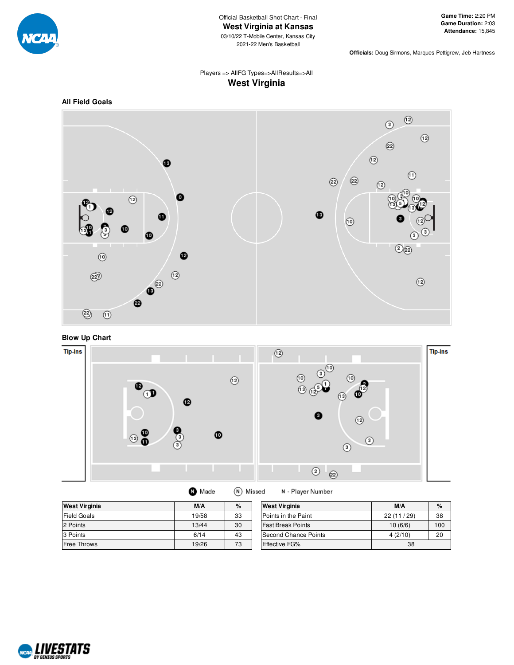

Official Basketball Shot Chart - Final **West Virginia at Kansas** 03/10/22 T-Mobile Center, Kansas City 2021-22 Men's Basketball

**Officials:** Doug Sirmons, Marques Pettigrew, Jeb Hartness

# Players => AllFG Types=>AllResults=>All **West Virginia**





**Blow Up Chart**



| <b>West Virginia</b> | M/A   | %  | <b>West Virginia</b>     | M/A       | $\%$ |
|----------------------|-------|----|--------------------------|-----------|------|
| Field Goals          | 19/58 | 33 | Points in the Paint      | 22(11/29) | 38   |
| 2 Points             | 13/44 | 30 | <b>Fast Break Points</b> | 10(6/6)   | 100  |
| 3 Points             | 6/14  | 43 | Second Chance Points     | 4(2/10)   | 20   |
| <b>Free Throws</b>   | 19/26 | 73 | Effective FG%            | 38        |      |

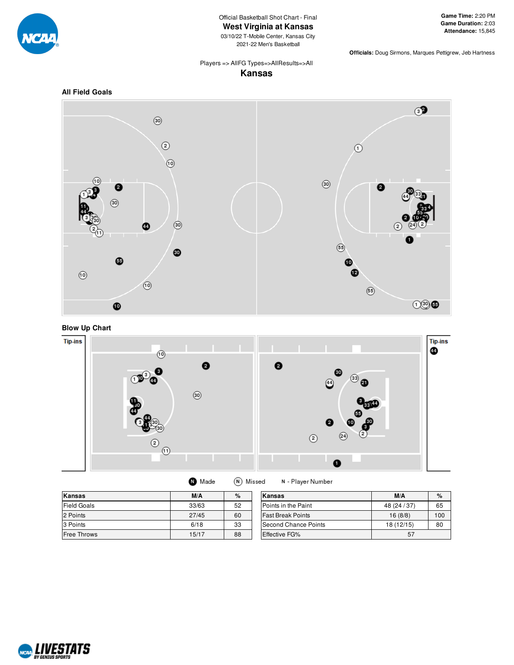

Official Basketball Shot Chart - Final **West Virginia at Kansas**

03/10/22 T-Mobile Center, Kansas City 2021-22 Men's Basketball

**Officials:** Doug Sirmons, Marques Pettigrew, Jeb Hartness

#### Players => AllFG Types=>AllResults=>All **Kansas**









**O** Made (N) Missed

N - Player Number

| <b>Kansas</b>      | M/A   | %  | Kansas                     | M/A          | %   |
|--------------------|-------|----|----------------------------|--------------|-----|
| <b>Field Goals</b> | 33/63 | 52 | <b>Points in the Paint</b> | 48 (24 / 37) | 65  |
| 2 Points           | 27/45 | 60 | <b>Fast Break Points</b>   | 16(8/8)      | 100 |
| 3 Points           | 6/18  | 33 | Second Chance Points       | 18 (12/15)   | 80  |
| <b>Free Throws</b> | 15/17 | 88 | Effective FG%              | 57           |     |

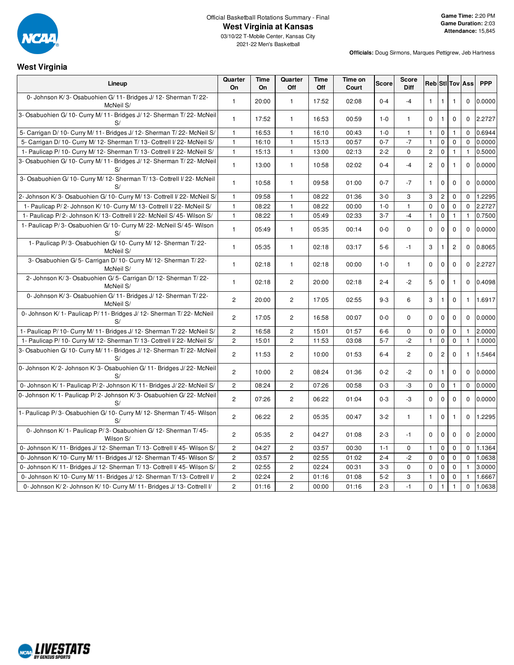

03/10/22 T-Mobile Center, Kansas City 2021-22 Men's Basketball

### **West Virginia**

| Lineup                                                                        | Quarter<br><b>On</b> | Time<br>On | Quarter<br>Off        | Time<br>Off | Time on<br>Court | <b>Score</b> | Score<br><b>Diff</b> |              |                |                | Reb Sti Tov Ass | <b>PPP</b> |
|-------------------------------------------------------------------------------|----------------------|------------|-----------------------|-------------|------------------|--------------|----------------------|--------------|----------------|----------------|-----------------|------------|
| 0- Johnson K/3- Osabuohien G/11- Bridges J/12- Sherman T/22-<br>McNeil S/     | 1                    | 20:00      | $\mathbf{1}$          | 17:52       | 02:08            | $0 - 4$      | $-4$                 | $\mathbf{1}$ | $\mathbf{1}$   | $\mathbf{1}$   | $\mathbf 0$     | 0.0000     |
| 3- Osabuohien G/10- Curry M/11- Bridges J/12- Sherman T/22- McNeil<br>S/      | $\mathbf{1}$         | 17:52      | $\mathbf{1}$          | 16:53       | 00:59            | $1 - 0$      | $\mathbf{1}$         | $\mathbf 0$  | $\mathbf{1}$   | $\mathbf 0$    | $\mathbf 0$     | 2.2727     |
| 5- Carrigan D/ 10- Curry M/ 11- Bridges J/ 12- Sherman T/ 22- McNeil S/       | $\mathbf{1}$         | 16:53      | $\mathbf{1}$          | 16:10       | 00:43            | $1 - 0$      | $\mathbf{1}$         | $\mathbf{1}$ | $\mathbf 0$    | $\mathbf{1}$   | $\Omega$        | 0.6944     |
| 5- Carrigan D/ 10- Curry M/ 12- Sherman T/ 13- Cottrell I/ 22- McNeil S/      | $\mathbf{1}$         | 16:10      | $\mathbf{1}$          | 15:13       | 00:57            | $0 - 7$      | $-7$                 | $\mathbf{1}$ | $\mathbf 0$    | $\mathbf 0$    | $\mathbf 0$     | 0.0000     |
| 1- Paulicap P/ 10- Curry M/ 12- Sherman T/ 13- Cottrell I/ 22- McNeil S/      | $\mathbf{1}$         | 15:13      | $\mathbf{1}$          | 13:00       | 02:13            | $2 - 2$      | 0                    | $\mathbf{2}$ | $\mathsf 0$    | 1              | $\mathbf{1}$    | 0.5000     |
| 3- Osabuohien G/10- Curry M/11- Bridges J/12- Sherman T/22- McNeil<br>S/      | $\mathbf{1}$         | 13:00      | $\mathbf{1}$          | 10:58       | 02:02            | $0 - 4$      | $-4$                 | $\mathbf{2}$ | $\mathbf 0$    | 1              | $\mathbf 0$     | 0.0000     |
| 3- Osabuohien G/ 10- Curry M/ 12- Sherman T/ 13- Cottrell I/ 22- McNeil<br>S/ | $\mathbf{1}$         | 10:58      | $\mathbf{1}$          | 09:58       | 01:00            | $0 - 7$      | -7                   | $\mathbf{1}$ | $\mathbf 0$    | 0              | $\Omega$        | 0.0000     |
| 2- Johnson K/3- Osabuohien G/10- Curry M/13- Cottrell I/22- McNeil S/         | $\mathbf{1}$         | 09:58      | $\mathbf{1}$          | 08:22       | 01:36            | $3-0$        | 3                    | 3            | $\overline{c}$ | 0              | $\mathbf 0$     | 1.2295     |
| 1- Paulicap P/2- Johnson K/10- Curry M/13- Cottrell I/22- McNeil S/           | $\mathbf{1}$         | 08:22      | $\mathbf{1}$          | 08:22       | 00:00            | $1 - 0$      | $\mathbf{1}$         | $\mathbf 0$  | $\mathbf 0$    | 0              | $\mathbf 0$     | 2.2727     |
| 1- Paulicap P/2- Johnson K/13- Cottrell I/22- McNeil S/45- Wilson S/          | $\mathbf{1}$         | 08:22      | $\mathbf{1}$          | 05:49       | 02:33            | $3 - 7$      | $-4$                 | $\mathbf{1}$ | $\mathbf 0$    | $\mathbf{1}$   | $\mathbf{1}$    | 0.7500     |
| 1- Paulicap P/3- Osabuohien G/10- Curry M/22- McNeil S/45- Wilson<br>S/       | $\mathbf{1}$         | 05:49      | $\mathbf{1}$          | 05:35       | 00:14            | $0-0$        | $\mathbf 0$          | $\mathbf 0$  | $\mathbf 0$    | $\mathbf 0$    | $\Omega$        | 0.0000     |
| 1- Paulicap P/3- Osabuohien G/10- Curry M/12- Sherman T/22-<br>McNeil S/      | $\mathbf{1}$         | 05:35      | $\mathbf{1}$          | 02:18       | 03:17            | $5-6$        | $-1$                 | 3            | $\mathbf{1}$   | $\overline{c}$ | $\mathbf{0}$    | 0.8065     |
| 3- Osabuohien G/ 5- Carrigan D/ 10- Curry M/ 12- Sherman T/ 22-<br>McNeil S/  | $\mathbf{1}$         | 02:18      | $\mathbf{1}$          | 02:18       | 00:00            | $1 - 0$      | $\mathbf{1}$         | $\mathbf 0$  | $\mathbf 0$    | $\mathbf 0$    | $\mathbf 0$     | 2.2727     |
| 2- Johnson K/3- Osabuohien G/5- Carrigan D/12- Sherman T/22-<br>McNeil S/     | $\mathbf{1}$         | 02:18      | $\overline{2}$        | 20:00       | 02:18            | $2 - 4$      | $-2$                 | 5            | $\mathbf 0$    | $\mathbf{1}$   | $\Omega$        | 0.4098     |
| 0- Johnson K/3- Osabuohien G/11- Bridges J/12- Sherman T/22-<br>McNeil S/     | $\overline{c}$       | 20:00      | 2                     | 17:05       | 02:55            | $9 - 3$      | 6                    | 3            | $\mathbf{1}$   | $\mathbf 0$    | $\mathbf{1}$    | 1.6917     |
| 0- Johnson K/1- Paulicap P/11- Bridges J/12- Sherman T/22- McNeil<br>S/       | $\overline{2}$       | 17:05      | $\overline{2}$        | 16:58       | 00:07            | $0-0$        | $\mathbf 0$          | $\mathbf 0$  | $\mathsf 0$    | 0              | $\mathbf 0$     | 0.0000     |
| 1- Paulicap P/ 10- Curry M/ 11- Bridges J/ 12- Sherman T/ 22- McNeil S/       | $\overline{c}$       | 16:58      | $\overline{c}$        | 15:01       | 01:57            | $6-6$        | 0                    | $\mathbf 0$  | $\mathsf 0$    | 0              | $\mathbf{1}$    | 2.0000     |
| 1- Paulicap P/ 10- Curry M/ 12- Sherman T/ 13- Cottrell I/ 22- McNeil S/      | $\overline{2}$       | 15:01      | $\overline{2}$        | 11:53       | 03:08            | $5 - 7$      | $-2$                 | $\mathbf{1}$ | $\mathbf 0$    | $\mathbf 0$    | $\mathbf{1}$    | 1.0000     |
| 3- Osabuohien G/10- Curry M/11- Bridges J/12- Sherman T/22- McNeil<br>S/      | $\overline{c}$       | 11:53      | $\mathbf{2}^{\prime}$ | 10:00       | 01:53            | $6 - 4$      | $\mathbf{2}$         | 0            | $\overline{c}$ | 0              | 1               | 1.5464     |
| 0- Johnson K/2- Johnson K/3- Osabuohien G/11- Bridges J/22- McNeil<br>S/      | $\overline{2}$       | 10:00      | $\overline{2}$        | 08:24       | 01:36            | $0 - 2$      | $-2$                 | $\mathbf 0$  | $\mathbf{1}$   | $\mathbf 0$    | $\mathbf 0$     | 0.0000     |
| 0- Johnson K/1- Paulicap P/2- Johnson K/11- Bridges J/22- McNeil S/           | $\overline{2}$       | 08:24      | $\overline{2}$        | 07:26       | 00:58            | $0 - 3$      | -3                   | $\mathbf 0$  | $\pmb{0}$      | 1              | $\mathbf 0$     | 0.0000     |
| 0- Johnson K/1- Paulicap P/2- Johnson K/3- Osabuohien G/22- McNeil<br>S/      | $\overline{2}$       | 07:26      | $\mathbf{2}$          | 06:22       | 01:04            | $0 - 3$      | $-3$                 | $\mathbf 0$  | $\mathsf 0$    | $\mathbf 0$    | $\mathbf 0$     | 0.0000     |
| 1- Paulicap P/3- Osabuohien G/10- Curry M/12- Sherman T/45- Wilson<br>S/      | $\overline{c}$       | 06:22      | $\mathbf{2}^{\prime}$ | 05:35       | 00:47            | $3 - 2$      | $\mathbf{1}$         | $\mathbf{1}$ | $\mathbf 0$    | 1              | $\mathbf 0$     | 1.2295     |
| 0- Johnson K/1- Paulicap P/3- Osabuohien G/12- Sherman T/45-<br>Wilson S/     | $\overline{2}$       | 05:35      | 2                     | 04:27       | 01:08            | $2 - 3$      | $-1$                 | $\mathbf 0$  | $\mathbf 0$    | $\mathbf 0$    | $\mathbf 0$     | 2.0000     |
| 0- Johnson K/11- Bridges J/12- Sherman T/13- Cottrell I/45- Wilson S/         | 2                    | 04:27      | $\mathbf{2}$          | 03:57       | 00:30            | $1 - 1$      | 0                    | $\mathbf{1}$ | $\mathbf 0$    | 0              | $\mathbf 0$     | 1.1364     |
| 0- Johnson K/ 10- Curry M/ 11- Bridges J/ 12- Sherman T/ 45- Wilson S/        | $\overline{2}$       | 03:57      | $\overline{2}$        | 02:55       | 01:02            | $2 - 4$      | $-2$                 | $\mathbf 0$  | $\mathbf 0$    | 0              | $\mathbf 0$     | 1.0638     |
| 0- Johnson K/11- Bridges J/12- Sherman T/13- Cottrell I/45- Wilson S/         | 2                    | 02:55      | $\mathbf{2}$          | 02:24       | 00:31            | $3 - 3$      | 0                    | $\mathbf 0$  | $\mathbf 0$    | $\mathbf 0$    | $\mathbf{1}$    | 3.0000     |
| 0- Johnson K/ 10- Curry M/ 11- Bridges J/ 12- Sherman T/ 13- Cottrell I/      | $\overline{c}$       | 02:24      | $\overline{c}$        | 01:16       | 01:08            | $5-2$        | 3                    | $\mathbf{1}$ | $\mathbf 0$    | 0              | $\mathbf{1}$    | 1.6667     |
| 0- Johnson K/2- Johnson K/10- Curry M/11- Bridges J/13- Cottrell I/           | $\overline{2}$       | 01:16      | $\overline{2}$        | 00:00       | 01:16            | $2 - 3$      | $-1$                 | $\mathbf 0$  | $\mathbf{1}$   | $\mathbf{1}$   | $\mathbf 0$     | 1.0638     |

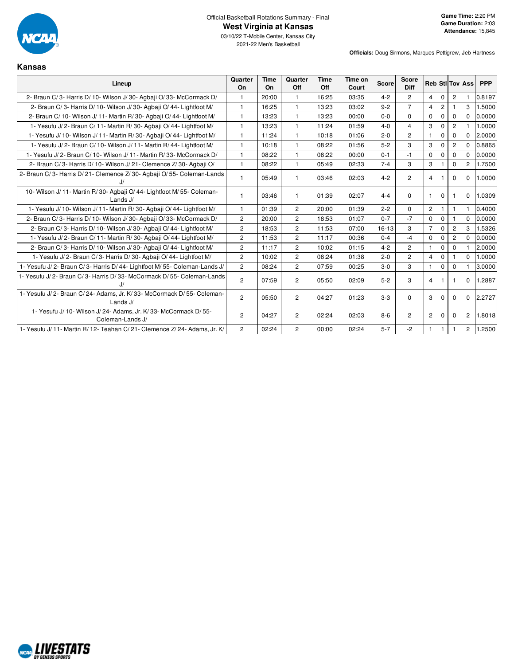

**Officials:** Doug Sirmons, Marques Pettigrew, Jeb Hartness

#### **Kansas**

| Lineup                                                                                | Quarter<br>On  | Time<br>On | Quarter<br>Off | <b>Time</b><br>Off | Time on<br>Court | <b>Score</b> | <b>Score</b><br><b>Diff</b> |                |                |                | <b>Reb</b> StilTov Ass | <b>PPP</b> |
|---------------------------------------------------------------------------------------|----------------|------------|----------------|--------------------|------------------|--------------|-----------------------------|----------------|----------------|----------------|------------------------|------------|
| 2- Braun C/3- Harris D/10- Wilson J/30- Agbaji O/33- McCormack D/                     | 1.             | 20:00      | 1              | 16:25              | 03:35            | $4 - 2$      | $\overline{2}$              | $\overline{4}$ | $\mathbf 0$    | 2              |                        | 0.8197     |
| 2- Braun C/3- Harris D/10- Wilson J/30- Agbaji O/44- Lightfoot M/                     | $\mathbf{1}$   | 16:25      | $\mathbf{1}$   | 13:23              | 03:02            | $9 - 2$      | $\overline{7}$              | $\overline{4}$ | $\overline{2}$ |                | 3                      | 1.5000     |
| 2- Braun C/ 10- Wilson J/ 11- Martin R/ 30- Agbaji O/ 44- Lightfoot M/                | $\mathbf{1}$   | 13:23      | $\mathbf{1}$   | 13:23              | 00:00            | $0 - 0$      | $\Omega$                    | $\mathbf 0$    | $\mathbf 0$    | $\Omega$       | $\Omega$               | 0.0000     |
| 1- Yesufu J/2- Braun C/11- Martin R/30- Agbaii O/44- Lightfoot M/                     | 1              | 13:23      | $\mathbf{1}$   | 11:24              | 01:59            | $4 - 0$      | $\overline{4}$              | 3              | $\Omega$       | $\overline{2}$ |                        | 1.0000     |
| 1- Yesufu J/ 10- Wilson J/ 11- Martin R/ 30- Agbaji O/ 44- Lightfoot M/               | $\mathbf{1}$   | 11:24      | $\mathbf{1}$   | 10:18              | 01:06            | $2 - 0$      | $\overline{2}$              | $\mathbf{1}$   | $\mathbf 0$    | 0              | $\Omega$               | 2.0000     |
| 1- Yesufu J/2- Braun C/10- Wilson J/11- Martin R/44- Lightfoot M/                     | 1              | 10:18      | $\mathbf 1$    | 08:22              | 01:56            | $5-2$        | 3                           | 3              | $\Omega$       | $\overline{2}$ | $\Omega$               | 0.8865     |
| 1- Yesufu J/2- Braun C/10- Wilson J/11- Martin R/33- McCormack D/                     | 1              | 08:22      | $\mathbf{1}$   | 08:22              | 00:00            | $0 - 1$      | $-1$                        | $\Omega$       | $\Omega$       | $\Omega$       | $\Omega$               | 0.0000     |
| 2- Braun C/3- Harris D/10- Wilson J/21- Clemence Z/30- Agbaji O/                      | $\mathbf{1}$   | 08:22      | $\mathbf{1}$   | 05:49              | 02:33            | $7 - 4$      | 3                           | 3              |                | $\Omega$       | $\overline{2}$         | 1.7500     |
| 2- Braun C/3- Harris D/21- Clemence Z/30- Agbaji O/55- Coleman-Lands                  | 1              | 05:49      | $\mathbf{1}$   | 03:46              | 02:03            | $4 - 2$      | $\overline{2}$              | $\overline{4}$ |                | $\Omega$       | $\Omega$               | 1.0000     |
| 10- Wilson J/ 11- Martin R/ 30- Agbaji O/ 44- Lightfoot M/ 55- Coleman-<br>Lands J/   |                | 03:46      | $\mathbf{1}$   | 01:39              | 02:07            | $4 - 4$      | $\Omega$                    |                | 0              |                | $\Omega$               | 1.0309     |
| 1- Yesufu J/10- Wilson J/11- Martin R/30- Agbaji O/44- Lightfoot M/                   | 1              | 01:39      | $\overline{2}$ | 20:00              | 01:39            | $2 - 2$      | $\Omega$                    | $\overline{2}$ |                |                |                        | 0.4000     |
| 2- Braun C/3- Harris D/10- Wilson J/30- Agbaji O/33- McCormack D/                     | $\overline{c}$ | 20:00      | $\overline{2}$ | 18:53              | 01:07            | $0 - 7$      | $-7$                        | $\Omega$       | $\mathbf 0$    |                | $\Omega$               | 0.0000     |
| 2- Braun C/3- Harris D/10- Wilson J/30- Agbaji O/44- Lightfoot M/                     | $\overline{c}$ | 18:53      | $\overline{2}$ | 11:53              | 07:00            | $16 - 13$    | 3                           | $\overline{7}$ | $\mathbf 0$    | $\overline{2}$ | 3                      | 1.5326     |
| 1- Yesufu J/2- Braun C/11- Martin R/30- Agbaii O/44- Lightfoot M/                     | $\overline{c}$ | 11:53      | $\overline{2}$ | 11:17              | 00:36            | $0 - 4$      | $-4$                        | $\mathbf 0$    | $\Omega$       | $\overline{2}$ | $\Omega$               | 0.0000     |
| 2- Braun C/3- Harris D/10- Wilson J/30- Agbaji O/44- Lightfoot M/                     | $\overline{c}$ | 11:17      | $\overline{2}$ | 10:02              | 01:15            | $4 - 2$      | $\overline{2}$              | $\mathbf{1}$   | $\mathbf{0}$   | $\mathbf 0$    |                        | 2.0000     |
| 1- Yesufu J/2- Braun C/3- Harris D/30- Agbaii O/44- Lightfoot M/                      | $\overline{c}$ | 10:02      | $\overline{c}$ | 08:24              | 01:38            | $2 - 0$      | $\overline{2}$              | $\overline{4}$ | $\mathbf 0$    |                | $\Omega$               | 1.0000     |
| 1- Yesufu J/2- Braun C/3- Harris D/44- Lightfoot M/55- Coleman-Lands J/               | $\overline{2}$ | 08:24      | $\overline{2}$ | 07:59              | 00:25            | $3-0$        | 3                           | $\mathbf{1}$   | $\Omega$       | $\Omega$       |                        | 3.0000     |
| 1- Yesufu J/2- Braun C/3- Harris D/33- McCormack D/55- Coleman-Lands<br>J/            | $\overline{c}$ | 07:59      | $\overline{2}$ | 05:50              | 02:09            | $5 - 2$      | 3                           | $\overline{4}$ |                |                | $\mathbf 0$            | 1.2887     |
| 1- Yesufu J/2- Braun C/24- Adams, Jr. K/33- McCormack D/55- Coleman-<br>Lands $J/$    | $\overline{c}$ | 05:50      | $\overline{c}$ | 04:27              | 01:23            | $3-3$        | $\Omega$                    | 3              | $\Omega$       | $\Omega$       | $\mathbf 0$            | 2.2727     |
| 1- Yesufu J/ 10- Wilson J/ 24- Adams, Jr. K/ 33- McCormack D/ 55-<br>Coleman-Lands J/ | $\overline{c}$ | 04:27      | $\overline{c}$ | 02:24              | 02:03            | $8-6$        | $\overline{c}$              | $\overline{2}$ | $\Omega$       | $\Omega$       | 2                      | 1.8018     |
| 1- Yesufu J/ 11- Martin R/ 12- Teahan C/ 21- Clemence Z/ 24- Adams, Jr. K/            | $\overline{2}$ | 02:24      | $\overline{2}$ | 00:00              | 02:24            | $5 - 7$      | -2                          |                |                |                | $\overline{c}$         | 1.2500     |

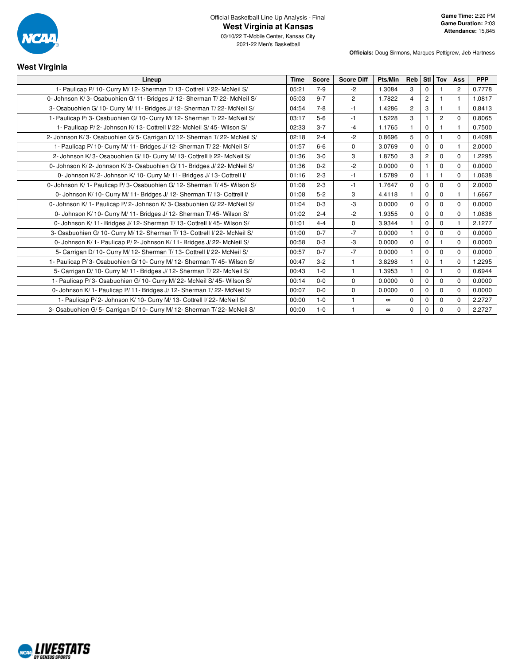

2021-22 Men's Basketball

**Officials:** Doug Sirmons, Marques Pettigrew, Jeb Hartness

# **West Virginia**

| Lineup                                                                     | <b>Time</b> | <b>Score</b> | <b>Score Diff</b> | Pts/Min  | Reb            | Stl I          | Tov            | Ass            | <b>PPP</b> |
|----------------------------------------------------------------------------|-------------|--------------|-------------------|----------|----------------|----------------|----------------|----------------|------------|
| 1- Paulicap P/ 10- Curry M/ 12- Sherman T/ 13- Cottrell I/ 22- McNeil S/   | 05:21       | $7-9$        | $-2$              | 1.3084   | 3              | $\mathbf 0$    |                | $\overline{2}$ | 0.7778     |
| 0- Johnson K/3- Osabuohien G/11- Bridges J/12- Sherman T/22- McNeil S/     | 05:03       | $9 - 7$      | $\overline{2}$    | 1.7822   | 4              | $\overline{2}$ |                |                | 1.0817     |
| 3- Osabuohien G/10- Curry M/11- Bridges J/12- Sherman T/22- McNeil S/      | 04:54       | $7 - 8$      | $-1$              | 1.4286   | $\overline{2}$ | 3              | $\mathbf{1}$   |                | 0.8413     |
| 1- Paulicap P/3- Osabuohien G/10- Curry M/12- Sherman T/22- McNeil S/      | 03:17       | $5-6$        | $-1$              | 1.5228   | 3              |                | $\overline{2}$ | $\Omega$       | 0.8065     |
| 1- Paulicap P/2- Johnson K/13- Cottrell I/22- McNeil S/45- Wilson S/       | 02:33       | $3 - 7$      | $-4$              | 1.1765   | $\mathbf{1}$   | $\mathbf 0$    |                |                | 0.7500     |
| 2- Johnson K/3- Osabuohien G/5- Carrigan D/12- Sherman T/22- McNeil S/     | 02:18       | $2 - 4$      | $-2$              | 0.8696   | 5              | $\Omega$       |                | $\Omega$       | 0.4098     |
| 1- Paulicap P/ 10- Curry M/ 11- Bridges J/ 12- Sherman T/ 22- McNeil S/    | 01:57       | $6-6$        | $\mathbf 0$       | 3.0769   | $\Omega$       | $\Omega$       | $\Omega$       |                | 2.0000     |
| 2- Johnson K/3- Osabuohien G/10- Curry M/13- Cottrell I/22- McNeil S/      | 01:36       | $3-0$        | 3                 | 1.8750   | 3              | 2              | $\Omega$       | 0              | 1.2295     |
| 0- Johnson K/2- Johnson K/3- Osabuohien G/11- Bridges J/22- McNeil S/      | 01:36       | $0 - 2$      | $-2$              | 0.0000   | $\mathbf 0$    |                | $\Omega$       | $\Omega$       | 0.0000     |
| 0- Johnson K/2- Johnson K/10- Curry M/11- Bridges J/13- Cottrell I/        | 01:16       | $2 - 3$      | $-1$              | 1.5789   | $\Omega$       |                |                | $\Omega$       | 1.0638     |
| 0- Johnson K/ 1- Paulicap P/ 3- Osabuohien G/ 12- Sherman T/ 45- Wilson S/ | 01:08       | $2 - 3$      | $-1$              | 1.7647   | $\Omega$       | $\Omega$       | $\Omega$       | $\Omega$       | 2.0000     |
| 0- Johnson K/ 10- Curry M/ 11- Bridges J/ 12- Sherman T/ 13- Cottrell I/   | 01:08       | $5 - 2$      | 3                 | 4.4118   | $\mathbf{1}$   | $\Omega$       | $\Omega$       |                | 1.6667     |
| 0- Johnson K/1- Paulicap P/2- Johnson K/3- Osabuohien G/22- McNeil S/      | 01:04       | $0 - 3$      | $-3$              | 0.0000   | $\Omega$       | $\Omega$       | $\Omega$       | $\mathbf 0$    | 0.0000     |
| 0- Johnson K/ 10- Curry M/ 11- Bridges J/ 12- Sherman T/ 45- Wilson S/     | 01:02       | $2 - 4$      | $-2$              | 1.9355   | $\Omega$       | $\Omega$       | $\Omega$       | $\Omega$       | 1.0638     |
| 0- Johnson K/11- Bridges J/12- Sherman T/13- Cottrell I/45- Wilson S/      | 01:01       | $4 - 4$      | $\mathbf 0$       | 3.9344   | $\mathbf{1}$   | $\Omega$       | $\mathbf 0$    |                | 2.1277     |
| 3- Osabuohien G/ 10- Curry M/ 12- Sherman T/ 13- Cottrell I/ 22- McNeil S/ | 01:00       | $0 - 7$      | $-7$              | 0.0000   | $\mathbf{1}$   | $\Omega$       | $\mathbf 0$    | 0              | 0.0000     |
| 0- Johnson K/ 1- Paulicap P/2- Johnson K/ 11- Bridges J/22- McNeil S/      | 00:58       | $0 - 3$      | $-3$              | 0.0000   | $\Omega$       | $\Omega$       |                | $\Omega$       | 0.0000     |
| 5- Carrigan D/ 10- Curry M/ 12- Sherman T/ 13- Cottrell I/ 22- McNeil S/   | 00:57       | $0 - 7$      | $-7$              | 0.0000   | $\mathbf{1}$   | $\Omega$       | $\mathbf 0$    | $\Omega$       | 0.0000     |
| 1- Paulicap P/3- Osabuohien G/10- Curry M/12- Sherman T/45- Wilson S/      | 00:47       | $3 - 2$      | $\mathbf{1}$      | 3.8298   | $\mathbf{1}$   | $\Omega$       |                | $\Omega$       | 1.2295     |
| 5- Carrigan D/ 10- Curry M/ 11- Bridges J/ 12- Sherman T/ 22- McNeil S/    | 00:43       | $1 - 0$      | $\mathbf{1}$      | 1.3953   | $\mathbf{1}$   | $\mathbf 0$    |                | 0              | 0.6944     |
| 1- Paulicap P/3- Osabuohien G/10- Curry M/22- McNeil S/45- Wilson S/       | 00:14       | $0 - 0$      | $\mathbf 0$       | 0.0000   | $\Omega$       | $\Omega$       | $\Omega$       | 0              | 0.0000     |
| 0- Johnson K/ 1- Paulicap P/ 11- Bridges J/ 12- Sherman T/ 22- McNeil S/   | 00:07       | $0-0$        | $\mathbf 0$       | 0.0000   | $\Omega$       | 0              | $\Omega$       | 0              | 0.0000     |
| 1- Paulicap P/2- Johnson K/10- Curry M/13- Cottrell I/22- McNeil S/        | 00:00       | $1 - 0$      | $\mathbf{1}$      | $\infty$ | $\Omega$       | 0              | $\mathbf 0$    | $\mathbf 0$    | 2.2727     |
| 3- Osabuohien G/5- Carrigan D/10- Curry M/12- Sherman T/22- McNeil S/      | 00:00       | $1 - 0$      | 1                 | $\infty$ | 0              | 0              | 0              | 0              | 2.2727     |